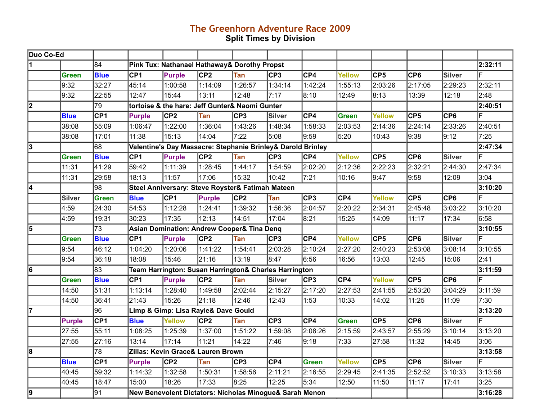## **The Greenhorn Adventure Race 2009 Split Times by Division**

| Duo Co-Ed               |               |                 |                 |                                                             |                 |            |         |                 |              |                  |                  |                 |         |
|-------------------------|---------------|-----------------|-----------------|-------------------------------------------------------------|-----------------|------------|---------|-----------------|--------------|------------------|------------------|-----------------|---------|
|                         |               | 84              |                 | Pink Tux: Nathanael Hathaway& Dorothy Propst                |                 |            |         |                 |              |                  |                  |                 | 2:32:11 |
|                         | <b>Green</b>  | <b>Blue</b>     | CP <sub>1</sub> | <b>Purple</b>                                               | CP <sub>2</sub> | Tan        | CP3     | CP4             | Yellow       | $\overline{CP5}$ | CP6              | Silver          | F       |
|                         | 9:32          | 32:27           | 45:14           | 1:00:58                                                     | 1:14:09         | 1:26:57    | 1:34:14 | 1:42:24         | 1:55:13      | 2:03:26          | 2:17:05          | 2:29:23         | 2:32:11 |
|                         | 9:32          | 22:55           | 12:47           | 15:44                                                       | 13:11           | 12:48      | 7:17    | 8:10            | 12:49        | 8:13             | 13:39            | 12:18           | 2:48    |
| $\overline{\mathbf{2}}$ |               | 79              |                 | tortoise & the hare: Jeff Gunter& Naomi Gunter              |                 |            |         |                 |              |                  |                  |                 | 2:40:51 |
|                         | <b>Blue</b>   | CP <sub>1</sub> | <b>Purple</b>   | CP2                                                         | Tan             | CP3        | Silver  | $C$ P4          | <b>Green</b> | <b>Yellow</b>    | CP5              | CP6             |         |
|                         | 38:08         | 55:09           | 1:06:47         | 1:22:00                                                     | 1:36:04         | 1:43:26    | 1:48:34 | 1:58:33         | 2:03:53      | 2:14:36          | 2:24:14          | 2:33:26         | 2:40:51 |
|                         | 38:08         | 17:01           | 11:38           | 15:13                                                       | 14:04           | 7:22       | 5:08    | 9:59            | 5:20         | 10:43            | 9:38             | 9:12            | 7:25    |
| 3                       |               | 68              |                 | Valentine's Day Massacre: Stephanie Brinley& Darold Brinley |                 |            |         |                 |              |                  |                  |                 | 2:47:34 |
|                         | <b>Green</b>  | <b>Blue</b>     | CPI             | Purple                                                      | C <sub>P2</sub> | Tan        | CP3     | C <sub>P4</sub> | Yellow       | CF5              | CPS              | Silver          | F       |
|                         | 11:31         | 41:29           | 59:42           | 1:11:39                                                     | 1:28:45         | 1:44:17    | 1:54:59 | 2:02:20         | 2:12:36      | 2:22:23          | 2:32:21          | 2:44:30         | 2:47:34 |
|                         | 11:31         | 29:58           | 18:13           | 11:57                                                       | 17:06           | 15:32      | 10:42   | 7:21            | 10:16        | 9:47             | 9:58             | 12:09           | 3:04    |
| 4                       |               | 98              |                 | Steel Anniversary: Steve Royster& Fatimah Mateen            |                 |            |         |                 |              |                  |                  |                 | 3:10:20 |
|                         | <b>Silver</b> | <b>Green</b>    | <b>Blue</b>     | CP1                                                         | Purple          | CP2        | Tan     | CF3             | CP4          | <b>Yellow</b>    | $\overline{CP5}$ | CP <sub>6</sub> | F       |
|                         | 4:59          | 24:30           | 54:53           | 1:12:28                                                     | 1:24:41         | 1:39:32    | 1:56:36 | 2:04:57         | 2:20:22      | 2:34:31          | 2:45:48          | 3:03:22         | 3:10:20 |
|                         | 4:59          | 19:31           | 30:23           | 17:35                                                       | 12:13           | 14:51      | 17:04   | 8:21            | 15:25        | 14:09            | 11:17            | 17:34           | 6:58    |
| 5                       |               | $\overline{73}$ |                 | Asian Domination: Andrew Cooper& Tina Denq                  |                 |            |         |                 |              |                  |                  |                 | 3:10:55 |
|                         | Green         | <b>Blue</b>     | CP <sub>1</sub> | <b>Purple</b>                                               | CP2             | Tan        | CP3     | CPA             | Yellow       | $\overline{CP5}$ | CP6              | Silver          | F       |
|                         | 9:54          | 46:12           | 1:04:20         | 1:20:06                                                     | 1:41:22         | 1:54:41    | 2:03:28 | 2:10:24         | 2:27:20      | 2:40:23          | 2:53:08          | 3:08:14         | 3:10:55 |
|                         | 9:54          | 36:18           | 18:08           | 15:46                                                       | 21:16           | 13:19      | 8:47    | 6:56            | 16:56        | 13:03            | 12:45            | 15:06           | 2:41    |
| $\overline{6}$          |               | $\overline{83}$ |                 | Team Harrington: Susan Harrington& Charles Harrington       |                 |            |         |                 |              |                  |                  |                 | 3:11:59 |
|                         | <b>Green</b>  | <b>Blue</b>     | CP <sub>1</sub> | Purple                                                      | CP <sub>2</sub> | Tan        | Silver  | CP3             | $C$ P4       | <b>Yellow</b>    | CPS              | C <sub>P6</sub> |         |
|                         | 14:50         | 51:31           | 1:13:14         | 1:28:40                                                     | 1:49:58         | 2:02:44    | 2:15:27 | 2:17:20         | 2:27:53      | 2:41:55          | 2:53:20          | 3:04:29         | 3:11:59 |
|                         | 14:50         | 36:41           | 21:43           | 15:26                                                       | 21:18           | 12:46      | 12:43   | 1:53            | 10:33        | 14:02            | 11:25            | 11:09           | 7:30    |
| 17                      |               | $\overline{96}$ |                 | Limp & Gimp: Lisa Rayle& Dave Gould                         |                 |            |         |                 |              |                  |                  |                 | 3:13:20 |
|                         | <b>Purple</b> | CP <sub>1</sub> | <b>Blue</b>     | <b>Yellow</b>                                               | CP <sub>2</sub> | Tan        | CP3     | CP4             | Green        | $\overline{CP5}$ | CP6              | Silver          | F       |
|                         | 27:55         | 55:11           | 1:08:25         | 1:25:39                                                     | 1:37:00         | 1:51:22    | 1:59:08 | 2:08:26         | 2:15:59      | 2:43:57          | 2:55:29          | 3:10:14         | 3:13:20 |
|                         | 27:55         | 27:16           | 13:14           | 17:14                                                       | 11:21           | 14:22      | 7:46    | 9:18            | 7:33         | 27:58            | 11:32            | 14:45           | 3:06    |
| 8                       |               | 78              |                 | Zillas: Kevin Grace& Lauren Brown                           |                 |            |         |                 |              |                  |                  |                 | 3:13:58 |
|                         | <b>Blue</b>   | CP1             | <b>Purple</b>   | CP2                                                         | Tan             | <b>CP3</b> | CP4     | Green           | Yellow       | $\overline{CP5}$ | CPS              | Silver          | F       |
|                         | 40:45         | 59:32           | 1:14:32         | 1:32:58                                                     | 1:50:31         | 1:58:56    | 2:11:21 | 2:16:55         | 2:29:45      | 2:41:35          | 2:52:52          | 3:10:33         | 3:13:58 |
|                         | 40:45         | 18:47           | 15:00           | 18:26                                                       | 17:33           | 8:25       | 12:25   | 5:34            | 12:50        | 11:50            | 11:17            | 17:41           | 3:25    |
| 9                       |               | 91              |                 | New Benevolent Dictators: Nicholas Minogue& Sarah Menon     |                 |            |         |                 |              |                  |                  |                 | 3:16:28 |
|                         |               |                 |                 |                                                             |                 |            |         |                 |              |                  |                  |                 |         |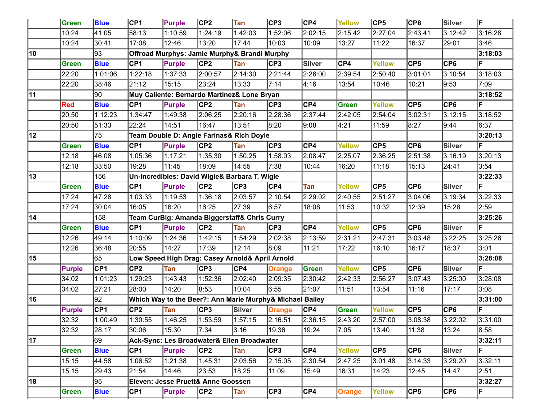|    | Green         | <b>Blue</b> | CP1     | Purple                             | CP2             | <b>Tan</b>                                               | CP3           | CP4     | <b>Yellow</b> | CP5            | CP6              | Silver          | ΙF      |
|----|---------------|-------------|---------|------------------------------------|-----------------|----------------------------------------------------------|---------------|---------|---------------|----------------|------------------|-----------------|---------|
|    | 10:24         | 41:05       | 58:13   | 1:10:59                            | 1:24:19         | 1:42:03                                                  | 1:52:06       | 2:02:15 | 2:15:42       | 2:27:04        | 2:43:41          | 3:12:42         | 3:16:28 |
|    | 10:24         | 30:41       | 17:08   | 12:46                              | 13:20           | 17:44                                                    | 10:03         | 10:09   | 13:27         | 11:22          | 16:37            | 29:01           | 3:46    |
| 10 |               | 93          |         |                                    |                 | Offroad Murphys: Jamie Murphy& Brandi Murphy             |               |         |               |                |                  |                 | 3:18:03 |
|    | <b>Green</b>  | <b>Blue</b> | CP1     | Purple                             | CP2             | Tan                                                      | CP3           | Silver  | CP4           | <b>Yellow</b>  | CP5              | CP <sub>6</sub> |         |
|    | 22:20         | 1:01:06     | 1:22:18 | 1:37:33                            | 2:00:57         | 2:14:30                                                  | 2:21:44       | 2:26:00 | 2:39:54       | 2:50:40        | 3:01:01          | 3:10:54         | 3:18:03 |
|    | 22:20         | 38:46       | 21:12   | 15:15                              | 23:24           | 13:33                                                    | 7:14          | 4:16    | 13:54         | 10:46          | 10:21            | 9:53            | 7:09    |
| 11 |               | 90          |         |                                    |                 | Muy Caliente: Bernardo Martinez& Lone Bryan              |               |         |               |                |                  |                 | 3:18:52 |
|    | <b>Red</b>    | <b>Blue</b> | CP1     | Purple                             | CP2             | Tan                                                      | CP3           | CP4     | Green         | <b>Yellow</b>  | CP5              | CP <sub>6</sub> |         |
|    | 20:50         | 1:12:23     | 1:34:47 | 1:49:38                            | 2:06:25         | 2:20:16                                                  | 2:28:36       | 2:37:44 | 2:42:05       | 2:54:04        | 3:02:31          | 3:12:15         | 3:18:52 |
|    | 20:50         | 51:33       | 22:24   | 14:51                              | 16:47           | 13:51                                                    | 8:20          | 9:08    | 4:21          | 11:59          | 8:27             | 9:44            | 6:37    |
| 12 |               | 75          |         |                                    |                 | Team Double D: Angie Farinas& Rich Doyle                 |               |         |               |                |                  |                 | 3:20:13 |
|    | <b>Green</b>  | <b>Blue</b> | CP1     | Purple                             | CP <sub>2</sub> | Tan                                                      | CP3           | CP4     | Yellow        | CP5            | CP6              | <b>Silver</b>   |         |
|    | 12:18         | 46:08       | 1:05:36 | 1:17:21                            | 1:35:30         | 1:50:25                                                  | 1:58:03       | 2:08:47 | 2:25:07       | 2:36:25        | 2:51:38          | 3:16:19         | 3:20:13 |
|    | 12:18         | 33:50       | 19:28   | 11:45                              | 18:09           | 14:55                                                    | 7:38          | 10:44   | 16:20         | 11:18          | 15:13            | 24:41           | 3:54    |
| 13 |               | 156         |         |                                    |                 | Un-Incredibles: David Wigle& Barbara T. Wigle            |               |         |               |                |                  |                 | 3:22:33 |
|    | <b>Green</b>  | <b>Blue</b> | CP1     | Purple                             | CP <sub>2</sub> | CP3                                                      | CP4           | Tan     | Yellow        | $\mathsf{CP5}$ | CP6              | <b>Silver</b>   | ΙF      |
|    | 17:24         | 47:28       | 1:03:33 | 1:19:53                            | 1:36:18         | 2:03:57                                                  | 2:10:54       | 2:29:02 | 2:40:55       | 2:51:27        | 3:04:06          | 3:19:34         | 3:22:33 |
|    | 17:24         | 30:04       | 16:05   | 16:20                              | 16:25           | 27:39                                                    | 6:57          | 18:08   | 11:53         | 10:32          | 12:39            | 15:28           | 2:59    |
| 14 |               | 158         |         |                                    |                 | Team CurBig: Amanda Biggerstaff& Chris Curry             |               |         |               |                |                  |                 | 3:25:26 |
|    | <b>Green</b>  | <b>Blue</b> | CP1     | Purple                             | CP2             | Tan                                                      | CP3           | CP4     | Yellow        | CP5            | CP6              | <b>Silver</b>   |         |
|    | 12:26         | 49:14       | 1:10:09 | 1:24:36                            | 1:42:15         | 1:54:29                                                  | 2:02:38       | 2:13:59 | 2:31:21       | 2:47:31        | 3:03:48          | 3:22:25         | 3:25:26 |
|    | 12:26         | 36:48       | 20:55   | 14:27                              | 17:39           | 12:14                                                    | 8:09          | 11:21   | 17:22         | 16:10          | 16:17            | 18:37           | 3:01    |
| 15 |               | 65          |         |                                    |                 | Low Speed High Drag: Casey Arnold& April Arnold          |               |         |               |                |                  |                 | 3:28:08 |
|    | <b>Purple</b> | CP1         | CP2     | Tan                                | CP3             | CP4                                                      | <b>Orange</b> | Green   | Yellow        | CP5            | CP6              | <b>Silver</b>   |         |
|    | 34:02         | 1:01:23     | 1:29:23 | 1:43:43                            | 1:52:36         | 2:02:40                                                  | 2:09:35       | 2:30:42 | 2:42:33       | 2:56:27        | 3:07:43          | 3:25:00         | 3:28:08 |
|    | 34:02         | 27:21       | 28:00   | 14:20                              | 8:53            | 10:04                                                    | 6:55          | 21:07   | 11:51         | 13:54          | 11:16            | 17:17           | 3:08    |
| 16 |               | 92          |         |                                    |                 | Which Way to the Beer?: Ann Marie Murphy& Michael Bailey |               |         |               |                |                  |                 | 3:31:00 |
|    | <b>Purple</b> | CP1         | CP2     | Tan                                | CP3             | <b>Silver</b>                                            | Orange        | CP4     | Green         | <b>Yellow</b>  | CP5              | CP <sub>6</sub> |         |
|    | 32:32         | 1:00:49     | 1:30:55 | 1:46:25                            | 1:53:59         | 1:57:15                                                  | 2:16:51       | 2:36:15 | 2:43:20       | 2:57:00        | 3:08:38          | 3:22:02         | 3:31:00 |
|    | 32:32         | 28:17       | 30:06   | 15:30                              | 7:34            | 3:16                                                     | 19:36         | 19:24   | 7:05          | 13:40          | 11:38            | 13:24           | 8:58    |
| 17 |               | 69          |         |                                    |                 | Ack-Sync: Les Broadwater& Ellen Broadwater               |               |         |               |                |                  |                 | 3:32:11 |
|    | Green         | <b>Blue</b> | CP1     | Purple                             | CP2             | Tan                                                      | CP3           | CP4     | <b>Yellow</b> | CP5            | CP6              | <b>Silver</b>   | ΙF      |
|    | 15:15         | 44:58       | 1:06:52 | 1:21:38                            | 1:45:31         | 2:03:56                                                  | 2:15:05       | 2:30:54 | 2:47:25       | 3:01:48        | 3:14:33          | 3:29:20         | 3:32:11 |
|    | 15:15         | 29:43       | 21:54   | 14:46                              | 23:53           | 18:25                                                    | 11:09         | 15:49   | 16:31         | 14:23          | 12:45            | 14:47           | 2:51    |
| 18 |               | 95          |         | Eleven: Jesse Pruett& Anne Goossen |                 |                                                          |               |         |               |                |                  |                 | 3:32:27 |
|    | Green         | <b>Blue</b> | CP1     | Purple                             | CP2             | <b>Tan</b>                                               | CP3           | CP4     | <b>Orange</b> | <b>Yellow</b>  | $\overline{CP5}$ | CP6             | F       |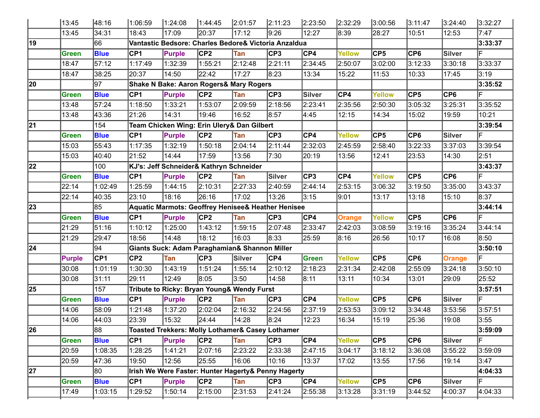|                 | 13:45        | 48:16           | 1:06:59         | 1:24:08                                                       | 1:44:45                 | 2:01:57 | 2:11:23 | 2:23:50        | 2:32:29       | 3:00:56         | 3:11:47          | 3:24:40       | 3:32:27 |
|-----------------|--------------|-----------------|-----------------|---------------------------------------------------------------|-------------------------|---------|---------|----------------|---------------|-----------------|------------------|---------------|---------|
|                 | 13:45        | 34:31           | 18:43           | 17:09                                                         | 20:37                   | 17:12   | 9:26    | 12:27          | 8:39          | 28:27           | 10:51            | 12:53         | 7:47    |
| 19              |              | 66              |                 | Vantastic Bedsore: Charles Bedore& Victoria Anzaldua          |                         |         |         |                |               |                 |                  |               | 3:33:37 |
|                 | Green        | <b>Blue</b>     | CP <sub>1</sub> | <b>Purple</b>                                                 | CP <sub>2</sub>         | Tan     | CP3     | CP4            | Yellow        | CP <sub>5</sub> | CP <sub>6</sub>  | <b>Silver</b> | F       |
|                 | 18:47        | 57:12           | 1:17:49         | 1:32:39                                                       | 1:55:21                 | 2:12:48 | 2:21:11 | 2:34:45        | 2:50:07       | 3:02:00         | 3:12:33          | 3:30:18       | 3:33:37 |
|                 | 18:47        | 38:25           | 20:37           | 14:50                                                         | 22:42                   | 17:27   | 8:23    | 13:34          | 15:22         | 11:53           | 10:33            | 17:45         | 3:19    |
| 20              |              | 97              |                 | Shake N Bake: Aaron Rogers& Mary Rogers                       |                         |         |         |                |               |                 |                  |               | 3:35:52 |
|                 | <b>Green</b> | <b>Blue</b>     | CP <sub>1</sub> | <b>Purple</b>                                                 | CP <sub>2</sub>         | Tan     | CP3     | Silver         | CP4           | <b>Yellow</b>   | CP5              | CP6           | F       |
|                 | 13:48        | 57:24           | 1:18:50         | 1:33:21                                                       | 1:53:07                 | 2:09:59 | 2:18:56 | 2:23:41        | 2:35:56       | 2:50:30         | 3:05:32          | 3:25:31       | 3:35:52 |
|                 | 13:48        | 43:36           | 21:26           | 14:31                                                         | 19:46                   | 16:52   | 8:57    | 4:45           | 12:15         | 14:34           | 15:02            | 19:59         | 10:21   |
| 21              |              | 154             |                 | Team Chicken Wing: Erin Ulery& Dan Gilbert                    |                         |         |         |                |               |                 |                  |               | 3:39:54 |
|                 | Green        | <b>Blue</b>     | CP <sub>1</sub> | Purple                                                        | CP2                     | Tan     | CP3     | $\mathsf{CP4}$ | Yellow        | CP5             | CP <sub>6</sub>  | <b>Silver</b> | F       |
|                 | 15:03        | 55:43           | 1:17:35         | 1:32:19                                                       | 1:50:18                 | 2:04:14 | 2:11:44 | 2:32:03        | 2:45:59       | 2:58:40         | 3:22:33          | 3:37:03       | 3:39:54 |
|                 | 15:03        | 40:40           | 21:52           | 14:44                                                         | 17:59                   | 13:56   | 7:30    | 20:19          | 13:56         | 12:41           | 23:53            | 14:30         | 2:51    |
| $\overline{22}$ |              | 100             |                 | KJ's: Jeff Schneider& Kathryn Schneider                       |                         |         |         |                |               |                 |                  |               | 3:43:37 |
|                 | <b>Green</b> | <b>Blue</b>     | CP <sub>1</sub> | Purple                                                        | CP2                     | Tan     | Silver  | CP3            | CP4           | <b>Yellow</b>   | $\overline{CP5}$ | CP6           | F       |
|                 | 22:14        | 1:02:49         | 1:25:59         | 1:44:15                                                       | 2:10:31                 | 2:27:33 | 2:40:59 | 2:44:14        | 2:53:15       | 3:06:32         | 3:19:50          | 3:35:00       | 3:43:37 |
|                 | 22:14        | 40:35           | 23:10           | 18:16                                                         | 26:16                   | 17:02   | 13:26   | 3:15           | 9:01          | 13:17           | 13:18            | 15:10         | 8:37    |
| $\overline{23}$ |              | 85              |                 | <b>Aquatic Marmots: Geoffrey Henisee&amp; Heather Henisee</b> |                         |         |         |                |               |                 |                  |               | 3:44:14 |
|                 | <b>Green</b> | <b>Blue</b>     | <b>CP1</b>      | Purple                                                        | CP2                     | Tan     | CP3     | CP4            | <b>Orange</b> | <b>Yellow</b>   | $\overline{CP5}$ | CP6           | F       |
|                 | 21:29        | 51:16           | 1:10:12         | 1:25:00                                                       | 1:43:12                 | 1:59:15 | 2:07:48 | 2:33:47        | 2:42:03       | 3:08:59         | 3:19:16          | 3:35:24       | 3:44:14 |
|                 | 21:29        | 29:47           | 18:56           | 14:48                                                         | 18:12                   | 16:03   | 8:33    | 25:59          | 8:16          | 26:56           | 10:17            | 16:08         | 8:50    |
| $\sqrt{24}$     |              | 94              |                 | Giants Suck: Adam Paraghamian& Shannon Miller                 |                         |         |         |                |               |                 |                  |               | 3:50:10 |
|                 | Purple       | CP <sub>1</sub> | CP <sub>2</sub> | Tan                                                           | CP3                     | Silver  | CP4     | Green          | <b>Yellow</b> | $\mathsf{CP5}$  | $\overline{CP6}$ | <b>Orange</b> | IF      |
|                 | 30:08        | 1:01:19         | 1:30:30         | 1:43:19                                                       | 1:51:24                 | 1:55:14 | 2:10:12 | 2:18:23        | 2:31:34       | 2:42:08         | 2:55:09          | 3:24:18       | 3:50:10 |
|                 | 30:08        | 31:11           | 29:11           | 12:49                                                         | 8:05                    | 3:50    | 14:58   | 8:11           | 13:11         | 10:34           | 13:01            | 29:09         | 25:52   |
| 25              |              | 157             |                 | Tribute to Ricky: Bryan Young& Wendy Furst                    |                         |         |         |                |               |                 |                  |               | 3:57:51 |
|                 | Green        | <b>Blue</b>     | CP <sub>1</sub> | Purple                                                        | CP2                     | Tan     | CP3     | CP4            | Yellow        | $\mathsf{CP5}$  | $\overline{CP6}$ | Silver        | F       |
|                 | 14:06        | 58:09           | 1:21:48         | 1:37:20                                                       | 2:02:04                 | 2:16:32 | 2:24:56 | 2:37:19        | 2:53:53       | 3:09:12         | 3:34:48          | 3:53:56       | 3:57:51 |
|                 | 14:06        | 44:03           | 23:39           | 15:32                                                         | 24:44                   | 14:28   | 8:24    | 12:23          | 16:34         | 15:19           | 25:36            | 19:08         | 3:55    |
| $\overline{26}$ |              | $\overline{88}$ |                 | Toasted Trekkers: Molly Lothamer& Casey Lothamer              |                         |         |         |                |               |                 |                  |               | 3:59:09 |
|                 | <b>Green</b> | <b>Blue</b>     | CP <sub>1</sub> | Purple                                                        | CP2                     | Tan     | CP3     | CP4            | Yellow        | CP5             | CP6              | Silver        | lF.     |
|                 | 20:59        | 1:08:35         | 1:28:25         | 1:41:21                                                       | 2:07:16                 | 2:23:22 | 2:33:38 | 2:47:15        | 3:04:17       | 3:18:12         | 3:36:08          | 3:55:22       | 3:59:09 |
|                 | 20:59        | 47:36           | 19:50           | 12:56                                                         | 25:55                   | 16:06   | 10:16   | 13:37          | 17:02         | 13:55           | 17:56            | 19:14         | 3:47    |
| $\overline{27}$ |              | 80              |                 | Irish We Were Faster: Hunter Hagerty& Penny Hagerty           |                         |         |         |                |               |                 |                  |               | 4:04:33 |
|                 | <b>Green</b> | <b>Blue</b>     | CP1             | <b>Purple</b>                                                 | $\overline{\text{CP2}}$ | Tan     | CP3     | CP4            | Yellow        | CP5             | CP6              | Silver        | F       |
|                 | 17:49        | 1:03:15         | 1:29:52         | 1:50:14                                                       | 2:15:00                 | 2:31:53 | 2:41:24 | 2:55:38        | 3:13:28       | 3:31:19         | 3:44:52          | 4:00:37       | 4:04:33 |
|                 |              |                 |                 |                                                               |                         |         |         |                |               |                 |                  |               |         |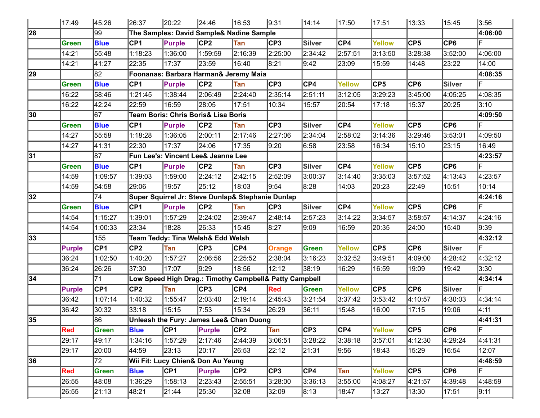|    | 17:49        | 45:26       | 26:37           | 20:22                               | 24:46           | 16:53                                                  | 9:31          | 14:14            | 17:50         | 17:51          | 13:33           | 15:45   | 3:56    |
|----|--------------|-------------|-----------------|-------------------------------------|-----------------|--------------------------------------------------------|---------------|------------------|---------------|----------------|-----------------|---------|---------|
| 28 |              | 99          |                 |                                     |                 | The Samples: David Sample& Nadine Sample               |               |                  |               |                |                 |         | 4:06:00 |
|    | <b>Green</b> | <b>Blue</b> | CP <sub>1</sub> | <b>Purple</b>                       | CP <sub>2</sub> | Tan                                                    | CP3           | Silver           | CP4           | Yellow         | CP <sub>5</sub> | CP6     |         |
|    | 14:21        | 55:48       | 1:18:23         | 1:36:00                             | 1:59:59         | 2:16:39                                                | 2:25:00       | 2:34:42          | 2:57:51       | 3:13:50        | 3:28:38         | 3:52:00 | 4:06:00 |
|    | 14:21        | 41:27       | 22:35           | 17:37                               | 23:59           | 16:40                                                  | 8:21          | 9:42             | 23:09         | 15:59          | 14:48           | 23:22   | 14:00   |
| 29 |              | 82          |                 |                                     |                 | Foonanas: Barbara Harman& Jeremy Maia                  |               |                  |               |                |                 |         | 4:08:35 |
|    | <b>Green</b> | <b>Blue</b> | CP <sub>1</sub> | <b>Purple</b>                       | CP <sub>2</sub> | <b>Tan</b>                                             | CP3           | CP4              | Yellow        | CP5            | CP <sub>6</sub> | Silver  |         |
|    | 16:22        | 58:46       | 1:21:45         | 1:38:44                             | 2:06:49         | 2:24:40                                                | 2:35:14       | 2:51:11          | 3:12:05       | 3:29:23        | 3:45:00         | 4:05:25 | 4:08:35 |
|    | 16:22        | 42:24       | 22:59           | 16:59                               | 28:05           | 17:51                                                  | 10:34         | 15:57            | 20:54         | 17:18          | 15:37           | 20:25   | 3:10    |
| 30 |              | 167         |                 | Team Boris: Chris Boris& Lisa Boris |                 |                                                        |               |                  |               |                |                 |         | 4:09:50 |
|    | <b>Green</b> | <b>Blue</b> | CP <sub>1</sub> | <b>Purple</b>                       | CP <sub>2</sub> | Tan                                                    | CP3           | <b>Silver</b>    | CP4           | Yellow         | CP <sub>5</sub> | CP6     |         |
|    | 14:27        | 55:58       | 1:18:28         | 1:36:05                             | 2:00:11         | 2:17:46                                                | 2:27:06       | 2:34:04          | 2:58:02       | 3:14:36        | 3:29:46         | 3:53:01 | 4:09:50 |
|    | 14:27        | 41:31       | 22:30           | 17:37                               | 24:06           | 17:35                                                  | 9:20          | 6:58             | 23:58         | 16:34          | 15:10           | 23:15   | 16:49   |
| 31 |              | 187         |                 | Fun Lee's: Vincent Lee& Jeanne Lee  |                 |                                                        |               |                  |               |                |                 |         | 4:23:57 |
|    | <b>Green</b> | <b>Blue</b> | CP <sub>1</sub> | <b>Purple</b>                       | CP <sub>2</sub> | Tan                                                    | CP3           | <b>Silver</b>    | CP4           | Yellow         | CP <sub>5</sub> | CP6     |         |
|    | 14:59        | 1:09:57     | 1:39:03         | 1:59:00                             | 2:24:12         | 2:42:15                                                | 2:52:09       | 3:00:37          | 3:14:40       | 3:35:03        | 3:57:52         | 4:13:43 | 4:23:57 |
|    | 14:59        | 54:58       | 29:06           | 19:57                               | 25:12           | 18:03                                                  | 9:54          | 8:28             | 14:03         | 20:23          | 22:49           | 15:51   | 10:14   |
| 32 |              | 74          |                 |                                     |                 | Super Squirrel Jr: Steve Dunlap& Stephanie Dunlap      |               |                  |               |                |                 |         | 4:24:16 |
|    | <b>Green</b> | <b>Blue</b> | CP <sub>1</sub> | <b>Purple</b>                       | CP <sub>2</sub> | Tan                                                    | CP3           | Silver           | CP4           | Yellow         | CP <sub>5</sub> | CP6     |         |
|    | 14:54        | 1:15:27     | 1:39:01         | 1:57:29                             | 2:24:02         | 2:39:47                                                | 2:48:14       | 2:57:23          | 3:14:22       | 3:34:57        | 3:58:57         | 4:14:37 | 4:24:16 |
|    | 14:54        | 1:00:33     | 23:34           | 18:28                               | 26:33           | 15:45                                                  | 8:27          | 9:09             | 16:59         | 20:35          | 24:00           | 15:40   | 9:39    |
| 33 |              | 155         |                 | Team Teddy: Tina Welsh& Edd Welsh   |                 |                                                        |               |                  |               |                |                 |         | 4:32:12 |
|    | Purple       | <b>CP1</b>  | CP <sub>2</sub> | Tan                                 | CP3             | CP4                                                    | <b>Orange</b> | Green            | Yellow        | $\mathsf{CP5}$ | CP <sub>6</sub> | Silver  |         |
|    | 36:24        | 1:02:50     | 1:40:20         | 1:57:27                             | 2:06:56         | 2:25:52                                                | 2:38:04       | 3:16:23          | 3:32:52       | 3:49:51        | 4:09:00         | 4:28:42 | 4:32:12 |
|    | 36:24        | 26:26       | 37:30           | 17:07                               | 9:29            | 18:56                                                  | 12:12         | 38:19            | 16:29         | 16:59          | 19:09           | 19:42   | 3:30    |
| 34 |              | 71          |                 |                                     |                 | Low Speed High Drag.: Timothy Campbell& Patty Campbell |               |                  |               |                |                 |         | 4:34:14 |
|    | Purple       | <b>CP1</b>  | CP <sub>2</sub> | Tan                                 | CP3             | CP4                                                    | Red           | <b>Green</b>     | <b>Yellow</b> | $\mathsf{CP5}$ | CP <sub>6</sub> | Silver  |         |
|    | 36:42        | 1:07:14     | 1:40:32         | 1:55:47                             | 2:03:40         | 2:19:14                                                | 2:45:43       | 3:21:54          | 3:37:42       | 3:53:42        | 4:10:57         | 4:30:03 | 4:34:14 |
|    | 36:42        | 30:32       | 33:18           | 15:15                               | 7:53            | 15:34                                                  | 26:29         | 36:11            | 15:48         | 16:00          | 17:15           | 19:06   | 4:11    |
| 35 |              | 86          |                 |                                     |                 | Unleash the Fury: James Lee& Chan Duong                |               |                  |               |                |                 |         | 4:41:31 |
|    | Red          | Green       | <b>Blue</b>     | CP1                                 | <b>Purple</b>   | CP2                                                    | Tan           | $\overline{CP3}$ | CP4           | Yellow         | CP5             | CP6     | lF.     |
|    | 29:17        | 49:17       | 1:34:16         | 1:57:29                             | 2:17:46         | 2:44:39                                                | 3:06:51       | 3:28:22          | 3:38:18       | 3:57:01        | 4:12:30         | 4:29:24 | 4:41:31 |
|    | 29:17        | 20:00       | 44:59           | 23:13                               | 20:17           | 26:53                                                  | 22:12         | 21:31            | 9:56          | 18:43          | 15:29           | 16:54   | 12:07   |
| 36 |              | 72          |                 | Wii Fit: Lucy Chien& Don Au Yeung   |                 |                                                        |               |                  |               |                |                 |         | 4:48:59 |
|    | <b>Red</b>   | Green       | <b>Blue</b>     | CP1                                 | Purple          | CP <sub>2</sub>                                        | CP3           | CP4              | Tan           | Yellow         | CP <sub>5</sub> | CP6     | lF.     |
|    | 26:55        | 48:08       | 1:36:29         | 1:58:13                             | 2:23:43         | 2:55:51                                                | 3:28:00       | 3:36:13          | 3:55:00       | 4:08:27        | 4:21:57         | 4:39:48 | 4:48:59 |
|    | 26:55        | 21:13       | 48:21           | 21:44                               | 25:30           | 32:08                                                  | 32:09         | 8:13             | 18:47         | 13:27          | 13:30           | 17:51   | 9:11    |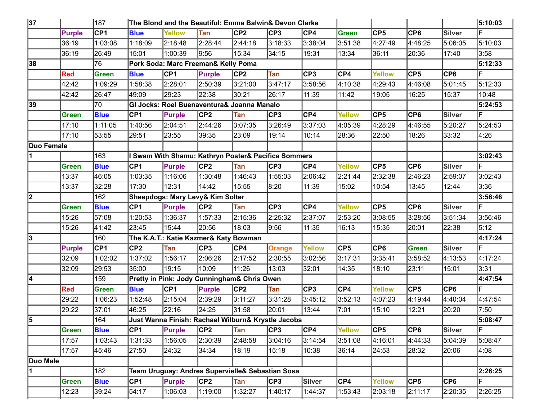| 37          |               | 187         |             | The Blond and the Beautiful: Emma Balwin& Devon Clarke |               |                 |               |               |                |               |                 |               | 5:10:03 |
|-------------|---------------|-------------|-------------|--------------------------------------------------------|---------------|-----------------|---------------|---------------|----------------|---------------|-----------------|---------------|---------|
|             | <b>Purple</b> | CP1         | <b>Blue</b> | <b>Yellow</b>                                          | Tan           | CP <sub>2</sub> | CP3           | CP4           | <b>Green</b>   | CP5           | $\mathsf{CP6}$  | <b>Silver</b> | F       |
|             | 36:19         | 1:03:08     | 1:18:09     | 2:18:48                                                | 2:28:44       | 2:44:18         | 3:18:33       | 3:38:04       | 3:51:38        | 4:27:49       | 4:48:25         | 5:06:05       | 5:10:03 |
|             | 36:19         | 26:49       | 15:01       | 1:00:39                                                | 9:56          | 15:34           | 34:15         | 19:31         | 13:34          | 36:11         | 20:36           | 17:40         | 3:58    |
| 38          |               | 76          |             | Pork Soda: Marc Freeman& Kelly Poma                    |               |                 |               |               |                |               |                 |               | 5:12:33 |
|             | <b>Red</b>    | Green       | <b>Blue</b> | CP1                                                    | Purple        | CP2             | Tan           | CP3           | CP4            | <b>Yellow</b> | $\mathsf{CP}5$  | CP6           | F       |
|             | 42:42         | 1:09:29     | 1:58:38     | 2:28:01                                                | 2:50:39       | 3:21:00         | 3:47:17       | 3:58:56       | 4:10:38        | 4:29:43       | 4:46:08         | 5:01:45       | 5:12:33 |
|             | 42:42         | 26:47       | 49:09       | 29:23                                                  | 22:38         | 30:21           | 26:17         | 11:39         | 11:42          | 19:05         | 16:25           | 15:37         | 10:48   |
| 39          |               | 70          |             | GI Jocks: Roel Buenaventura& Joanna Manalo             |               |                 |               |               |                |               |                 |               | 5:24:53 |
|             | Green         | <b>Blue</b> | CP1         | Purple                                                 | CP2           | Tan             | CP3           | CP4           | <b>Yellow</b>  | CP5           | $\mathsf{CP6}$  | <b>Silver</b> | F       |
|             | 17:10         | 1:11:05     | 1:40:56     | 2:04:51                                                | 2:44:26       | 3:07:35         | 3:26:49       | 3:37:03       | 4:05:39        | 4:28:29       | 4:46:55         | 5:20:27       | 5:24:53 |
|             | 17:10         | 53:55       | 29:51       | 23:55                                                  | 39:35         | 23:09           | 19:14         | 10:14         | 28:36          | 22:50         | 18:26           | 33:32         | 4:26    |
| ∣Duo Female |               |             |             |                                                        |               |                 |               |               |                |               |                 |               |         |
| 11          |               | 163         |             | I Swam With Shamu: Kathryn Poster& Pacifica Sommers    |               |                 |               |               |                |               |                 |               | 3:02:43 |
|             | Green         | <b>Blue</b> | <b>CP1</b>  | <b>Purple</b>                                          | CP2           | Tan             | CP3           | CP4           | <b>Yellow</b>  | CP5           | $\mathsf{CP6}$  | Silver        | F       |
|             | 13:37         | 46:05       | 1:03:35     | 1:16:06                                                | 1:30:48       | 1:46:43         | 1:55:03       | 2:06:42       | 2:21:44        | 2:32:38       | 2:46:23         | 2:59:07       | 3:02:43 |
|             | 13:37         | 32:28       | 17:30       | 12:31                                                  | 14:42         | 15:55           | 8:20          | 11:39         | 15:02          | 10:54         | 13:45           | 12:44         | 3:36    |
| 2           |               | 162         |             | Sheepdogs: Mary Levy& Kim Solter                       |               |                 |               |               |                |               |                 |               | 3:56:46 |
|             | Green         | <b>Blue</b> | CP1         | <b>Purple</b>                                          | CP2           | Tan             | CP3           | CP4           | <b>Yellow</b>  | CP5           | $\mathsf{CP6}$  | Silver        |         |
|             | 15:26         | 57:08       | 1:20:53     | 1:36:37                                                | 1:57:33       | 2:15:36         | 2:25:32       | 2:37:07       | 2:53:20        | 3:08:55       | 3:28:56         | 3:51:34       | 3:56:46 |
|             | 15:26         | 41:42       | 23:45       | 15:44                                                  | 20:56         | 18:03           | 9:56          | 11:35         | 16:13          | 15:35         | 20:01           | 22:38         | 5:12    |
| 3           |               | 160         |             | The K.A.T.: Katie Kazmer& Katy Bowman                  |               |                 |               |               |                |               |                 |               | 4:17:24 |
|             | <b>Purple</b> | CP1         | CP2         | <b>Tan</b>                                             | CP3           | CP4             | <b>Orange</b> | <b>Yellow</b> | $\mathsf{CP}5$ | CP6           | Green           | Silver        | F       |
|             | 32:09         | 1:02:02     | 1:37:02     | 1:56:17                                                | 2:06:26       | 2:17:52         | 2:30:55       | 3:02:56       | 3:17:31        | 3:35:41       | 3:58:52         | 4:13:53       | 4:17:24 |
|             | 32:09         | 29:53       | 35:00       | 19:15                                                  | 10:09         | 11:26           | 13:03         | 32:01         | 14:35          | 18:10         | 23:11           | 15:01         | 3:31    |
| 4           |               | 159         |             | Pretty in Pink: Jody Cunningham& Chris Owen            |               |                 |               |               |                |               |                 |               | 4:47:54 |
|             | <b>Red</b>    | Green       | <b>Blue</b> | CP1                                                    | <b>Purple</b> | CP2             | Tan           | CP3           | CP4            | Yellow        | CP <sub>5</sub> | CP6           | F       |
|             | 29:22         | 1:06:23     | 1:52:48     | 2:15:04                                                | 2:39:29       | 3:11:27         | 3:31:28       | 3:45:12       | 3:52:13        | 4:07:23       | 4:19:44         | 4:40:04       | 4:47:54 |
|             | 29:22         | 37:01       | 46:25       | 22:16                                                  | 24:25         | 31:58           | 20:01         | 13:44         | 7:01           | 15:10         | 12:21           | 20:20         | 7:50    |
| 5           |               | 164         |             | Just Wanna Finish: Rachael Wilburn& Krystle Jacobs     |               |                 |               |               |                |               |                 |               | 5:08:47 |
|             | Green         | <b>Blue</b> | CP1         | <b>Purple</b>                                          | CP2           | Tan             | CP3           | CP4           | <b>Yellow</b>  | CP5           | CP6             | Silver        | lF.     |
|             | 17:57         | 1:03:43     | 1:31:33     | 1:56:05                                                | 2:30:39       | 2:48:58         | 3:04:16       | 3:14:54       | 3:51:08        | 4:16:01       | 4:44:33         | 5:04:39       | 5:08:47 |
|             | 17:57         | 45:46       | 27:50       | 24:32                                                  | 34:34         | 18:19           | 15:18         | 10:38         | 36:14          | 24:53         | 28:32           | 20:06         | 4:08    |
| Duo Male    |               |             |             |                                                        |               |                 |               |               |                |               |                 |               |         |
| 11          |               | 182         |             | Team Uruguay: Andres Supervielle& Sebastian Sosa       |               |                 |               |               |                |               |                 |               | 2:26:25 |
|             | Green         | <b>Blue</b> | CP1         | <b>Purple</b>                                          | CP2           | Tan             | CP3           | Silver        | CP4            | <b>Yellow</b> | CP5             | CP6           | F       |
|             | 12:23         | 39:24       | 54:17       | 1:06:03                                                | 1:19:00       | 1:32:27         | 1:40:17       | 1:44:37       | 1:53:43        | 2:03:18       | 2:11:17         | 2:20:35       | 2:26:25 |
|             |               |             |             |                                                        |               |                 |               |               |                |               |                 |               |         |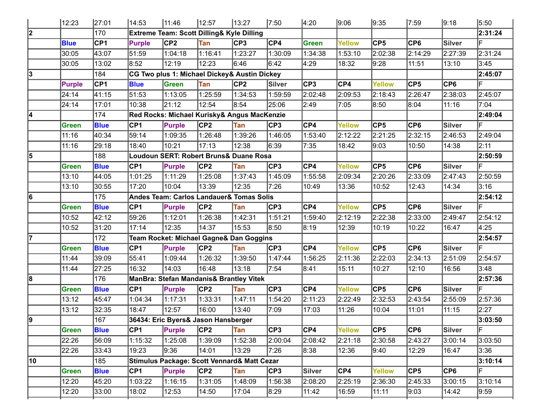|    | 12:23         | 27:01       | 14:53           | 11:46                               | 12:57           | 13:27                                        | 7:50    | 4:20                      | 9:06    | 9:35    | 7:59            | 9:18    | 5:50    |
|----|---------------|-------------|-----------------|-------------------------------------|-----------------|----------------------------------------------|---------|---------------------------|---------|---------|-----------------|---------|---------|
| 2  |               | 170         |                 |                                     |                 | Extreme Team: Scott Dilling& Kyle Dilling    |         |                           |         |         |                 |         | 2:31:24 |
|    | <b>Blue</b>   | CP1         | <b>Purple</b>   | CP <sub>2</sub>                     | Tan             | CP3                                          | CP4     | Green                     | Yellow  | CP5     | CP <sub>6</sub> | Silver  |         |
|    | 30:05         | 43:07       | 51:59           | 1:04:18                             | 1:16:41         | 1:23:27                                      | 1:30:09 | 1:34:38                   | 1:53:10 | 2:02:38 | 2:14:29         | 2:27:39 | 2:31:24 |
|    | 30:05         | 13:02       | 8:52            | 12:19                               | 12:23           | 6:46                                         | 6:42    | 4:29                      | 18:32   | 9:28    | 11:51           | 13:10   | 3:45    |
| 3  |               | 184         |                 |                                     |                 | CG Two plus 1: Michael Dickey& Austin Dickey |         |                           |         |         |                 |         | 2:45:07 |
|    | <b>Purple</b> | CP1         | <b>Blue</b>     | <b>Green</b>                        | Tan             | CP2                                          | Silver  | $\overline{CP3}$          | CP4     | Yellow  | CP <sub>5</sub> | CP6     |         |
|    | 24:14         | 41:15       | 51:53           | 1:13:05                             | 1:25:59         | 1:34:53                                      | 1:59:59 | 2:02:48                   | 2:09:53 | 2:18:43 | 2:26:47         | 2:38:03 | 2:45:07 |
|    | 24:14         | 17:01       | 10:38           | 21:12                               | 12:54           | 8:54                                         | 25:06   | 2:49                      | 7:05    | 8:50    | 8:04            | 11:16   | 7:04    |
|    |               | 174         |                 |                                     |                 | Red Rocks: Michael Kurisky& Angus MacKenzie  |         |                           |         |         |                 |         | 2:49:04 |
|    | Green         | <b>Blue</b> | CP <sub>1</sub> | <b>Purple</b>                       | CP <sub>2</sub> | Tan                                          | CP3     | $\mathsf{CP4}$            | Yellow  | CP5     | CP <sub>6</sub> | Silver  |         |
|    | 11:16         | 40:34       | 59:14           | 1:09:35                             | 1:26:48         | 1:39:26                                      | 1:46:05 | 1:53:40                   | 2:12:22 | 2:21:25 | 2:32:15         | 2:46:53 | 2:49:04 |
|    | 11:16         | 29:18       | 18:40           | 10:21                               | 17:13           | 12:38                                        | 6:39    | 7:35                      | 18:42   | 9:03    | 10:50           | 14:38   | 2:11    |
| 5  |               | 188         |                 |                                     |                 | Loudoun SERT: Robert Bruns& Duane Rosa       |         |                           |         |         |                 |         | 2:50:59 |
|    | Green         | <b>Blue</b> | CP <sub>1</sub> | <b>Purple</b>                       | CP <sub>2</sub> | Tan                                          | CP3     | CP4                       | Yellow  | CP5     | CP <sub>6</sub> | Silver  | F       |
|    | 13:10         | 44:05       | 1:01:25         | 1:11:29                             | 1:25:08         | 1:37:43                                      | 1:45:09 | 1:55:58                   | 2:09:34 | 2:20:26 | 2:33:09         | 2:47:43 | 2:50:59 |
|    | 13:10         | 30:55       | 17:20           | 10:04                               | 13:39           | 12:35                                        | 7:26    | 10:49                     | 13:36   | 10:52   | 12:43           | 14:34   | 3:16    |
| 16 |               | 175         |                 |                                     |                 | Andes Team: Carlos Landauer& Tomas Solis     |         |                           |         |         |                 |         | 2:54:12 |
|    | Green         | <b>Blue</b> | CP <sub>1</sub> | <b>Purple</b>                       | CP <sub>2</sub> | Tan                                          | CP3     | CP4                       | Yellow  | CP5     | CP <sub>6</sub> | Silver  | F       |
|    | 10:52         | 42:12       | 59:26           | 1:12:01                             | 1:26:38         | 1:42:31                                      | 1:51:21 | 1:59:40                   | 2:12:19 | 2:22:38 | 2:33:00         | 2:49:47 | 2:54:12 |
|    | 10:52         | 31:20       | 17:14           | 12:35                               | 14:37           | 15:53                                        | 8:50    | 8:19                      | 12:39   | 10:19   | 10:22           | 16:47   | 4:25    |
|    |               | 172         |                 |                                     |                 | Team Rocket: Michael Gagne& Dan Goggins      |         |                           |         |         |                 |         | 2:54:57 |
|    | <b>Green</b>  | <b>Blue</b> | CP <sub>1</sub> | <b>Purple</b>                       | CP <sub>2</sub> | Tan                                          | CP3     | CP4                       | Yellow  | CP5     | CP <sub>6</sub> | Silver  | F       |
|    | 11:44         | 39:09       | 55:41           | 1:09:44                             | 1:26:32         | 1:39:50                                      | 1:47:44 | 1:56:25                   | 2:11:36 | 2:22:03 | 2:34:13         | 2:51:09 | 2:54:57 |
|    | 11:44         | 27:25       | 16:32           | 14:03                               | 16:48           | 13:18                                        | 7:54    | 8:41                      | 15:11   | 10:27   | 12:10           | 16:56   | 3:48    |
| 8  |               | 176         |                 |                                     |                 | ManBra: Stefan Mandanis& Brantley Vitek      |         |                           |         |         |                 |         | 2:57:36 |
|    | Green         | <b>Blue</b> | CP1             | <b>Purple</b>                       | C <sub>P2</sub> | Tan                                          | CP3     | $\overline{\textsf{CP4}}$ | Yellow  | CP5     | CP <sub>6</sub> | Silver  | F       |
|    | 13:12         | 45:47       | 1:04:34         | 1:17:31                             | 1:33:31         | 1:47:11                                      | 1:54:20 | 2:11:23                   | 2:22:49 | 2:32:53 | 2:43:54         | 2:55:09 | 2:57:36 |
|    | 13:12         | 32:35       | 18:47           | 12:57                               | 16:00           | 13:40                                        | 7:09    | 17:03                     | 11:26   | 10:04   | 11:01           | 11:15   | 2:27    |
| 9ן |               | 167         |                 | 36434: Eric Byers& Jason Hansberger |                 |                                              |         |                           |         |         |                 |         | 3:03:50 |
|    | Green         | <b>Blue</b> | CP1             | <b>Purple</b>                       | CP <sub>2</sub> | Tan                                          | CP3     | CP4                       | Yellow  | CP5     | CP6             | Silver  | lF.     |
|    | 22:26         | 56:09       | 1:15:32         | 1:25:08                             | 1:39:09         | 1:52:38                                      | 2:00:04 | 2:08:42                   | 2:21:18 | 2:30:58 | 2:43:27         | 3:00:14 | 3:03:50 |
|    | 22:26         | 33:43       | 19:23           | 9:36                                | 14:01           | 13:29                                        | 7:26    | 8:38                      | 12:36   | 9:40    | 12:29           | 16:47   | 3:36    |
| 10 |               | 185         |                 |                                     |                 | Stimulus Package: Scott Vennard& Matt Cezar  |         |                           |         |         |                 |         | 3:10:14 |
|    | Green         | <b>Blue</b> | CP1             | Purple                              | CP <sub>2</sub> | Tan                                          | CP3     | <b>Silver</b>             | CP4     | Yellow  | CP <sub>5</sub> | CP6     | IF.     |
|    | 12:20         | 45:20       | 1:03:22         | 1:16:15                             | 1:31:05         | 1:48:09                                      | 1:56:38 | 2:08:20                   | 2:25:19 | 2:36:30 | 2:45:33         | 3:00:15 | 3:10:14 |
|    | 12:20         | 33:00       | 18:02           | 12:53                               | 14:50           | 17:04                                        | 8:29    | 11:42                     | 16:59   | 11:11   | 9:03            | 14:42   | 9:59    |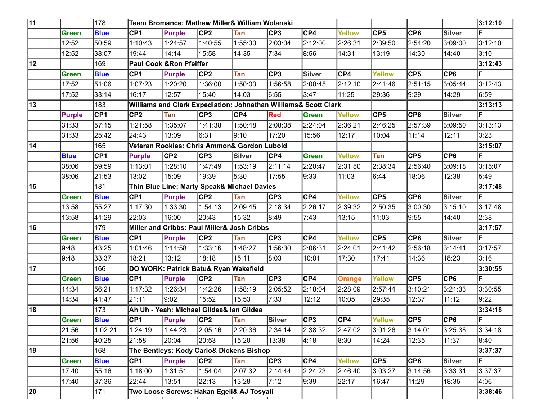| 11 |               | 178             |                 | Team Bromance: Mathew Miller& William Wolanski                  |                 |            |            |                         |               |               |         |         | 3:12:10 |
|----|---------------|-----------------|-----------------|-----------------------------------------------------------------|-----------------|------------|------------|-------------------------|---------------|---------------|---------|---------|---------|
|    | Green         | <b>Blue</b>     | CP1             | <b>Purple</b>                                                   | CP2             | Tan        | CP3        | $\overline{\text{CP4}}$ | <b>Yellow</b> | CP5           | CP6     | Silver  | F       |
|    | 12:52         | 50:59           | 1:10:43         | 1:24:57                                                         | 1:40:55         | 1:55:30    | 2:03:04    | 2:12:00                 | 2:26:31       | 2:39:50       | 2:54:20 | 3:09:00 | 3:12:10 |
|    | 12:52         | 38:07           | 19:44           | 14:14                                                           | 15:58           | 14:35      | 7:34       | 8:56                    | 14:31         | 13:19         | 14:30   | 14:40   | 3:10    |
| 12 |               | 169             |                 | Paul Cook & Ron Pfeiffer                                        |                 |            |            |                         |               |               |         |         | 3:12:43 |
|    | Green         | <b>Blue</b>     | CP1             | <b>Purple</b>                                                   | CP <sub>2</sub> | Tan        | CP3        | Silver                  | CP4           | <b>Yellow</b> | CP5     | CP6     | F       |
|    | 17:52         | 51:06           | 1:07:23         | 1:20:20                                                         | 1:36:00         | 1:50:03    | 1:56:58    | 2:00:45                 | 2:12:10       | 2:41:46       | 2:51:15 | 3:05:44 | 3:12:43 |
|    | 17:52         | 33:14           | 16:17           | 12:57                                                           | 15:40           | 14:03      | 6:55       | 3:47                    | 11:25         | 29:36         | 9:29    | 14:29   | 6:59    |
| 13 |               | 183             |                 | Williams and Clark Expediation: Johnathan Williams& Scott Clark |                 |            |            |                         |               |               |         |         | 3:13:13 |
|    | <b>Purple</b> | <b>CP1</b>      | CP2             | <b>Tan</b>                                                      | CP3             | CP4        | <b>Red</b> | Green                   | <b>Yellow</b> | CP5           | CP6     | Silver  | F       |
|    | 31:33         | 57:15           | 1:21:58         | 1:35:07                                                         | 1:41:38         | 1:50:48    | 2:08:08    | 2:24:04                 | 2:36:21       | 2:46:25       | 2:57:39 | 3:09:50 | 3:13:13 |
|    | 31:33         | 25:42           | 24:43           | 13:09                                                           | 6:31            | 9:10       | 17:20      | 15:56                   | 12:17         | 10:04         | 11:14   | 12:11   | 3:23    |
| 14 |               | 165             |                 | Veteran Rookies: Chris Ammon& Gordon Lubold                     |                 |            |            |                         |               |               |         |         | 3:15:07 |
|    | <b>Blue</b>   | CP <sub>1</sub> | <b>Purple</b>   | CP <sub>2</sub>                                                 | CP3             | Silver     | CP4        | Green                   | <b>Yellow</b> | <b>Tan</b>    | CP5     | CP6     | ΙĒ.     |
|    | 38:06         | 59:59           | 1:13:01         | 1:28:10                                                         | 1:47:49         | 1:53:19    | 2:11:14    | 2:20:47                 | 2:31:50       | 2:38:34       | 2:56:40 | 3:09:18 | 3:15:07 |
|    | 38:06         | 21:53           | 13:02           | 15:09                                                           | 19:39           | 5:30       | 17:55      | 9:33                    | 11:03         | 6:44          | 18:06   | 12:38   | 5:49    |
| 15 |               | 181             |                 | Thin Blue Line: Marty Speak& Michael Davies                     |                 |            |            |                         |               |               |         |         | 3:17:48 |
|    | Green         | <b>Blue</b>     | CP1             | <b>Purple</b>                                                   | CP <sub>2</sub> | Tan        | CP3        | CP4                     | <b>Yellow</b> | CP5           | CP6     | Silver  | lF.     |
|    | 13:58         | 55:27           | 1:17:30         | 1:33:30                                                         | 1:54:13         | 2:09:45    | 2:18:34    | 2:26:17                 | 2:39:32       | 2:50:35       | 3:00:30 | 3:15:10 | 3:17:48 |
|    | 13:58         | 41:29           | $ 22:03\rangle$ | 16:00                                                           | 20:43           | 15:32      | 8:49       | 7:43                    | 13:15         | 11:03         | 9:55    | 14:40   | 2:38    |
| 16 |               | 179             |                 | Miller and Cribbs: Paul Miller& Josh Cribbs                     |                 |            |            |                         |               |               |         |         | 3:17:57 |
|    | <b>Green</b>  | <b>Blue</b>     | CP1             | <b>Purple</b>                                                   | C <sub>P2</sub> | Tan        | CP3        | CP4                     | Yellow        | CP5           | CP6     | Silver  | ΙĒ.     |
|    | 9:48          | 43:25           | 1:01:46         | 1:14:58                                                         | 1:33:16         | 1:48:27    | 1:56:30    | 2:06:31                 | 2:24:01       | 2:41:42       | 2:56:18 | 3:14:41 | 3:17:57 |
|    | 9:48          | 33:37           | 18:21           | 13:12                                                           | 18:18           | 15:11      | 8:03       | 10:01                   | 17:30         | 17:41         | 14:36   | 18:23   | 3:16    |
| 17 |               | 166             |                 | DO WORK: Patrick Batu& Ryan Wakefield                           |                 |            |            |                         |               |               |         |         | 3:30:55 |
|    | <b>Green</b>  | <b>Blue</b>     | CP1             | <b>Purple</b>                                                   | C <sub>P2</sub> | Tan        | CP3        | CP4                     | <b>Orange</b> | Yellow        | CP5     | CP6     | ΙĒ.     |
|    | 14:34         | 56:21           | 1:17:32         | 1:26:34                                                         | 1:42:26         | 1:58:19    | 2:05:52    | 2:18:04                 | 2:28:09       | 2:57:44       | 3:10:21 | 3:21:33 | 3:30:55 |
|    | 14:34         | 41:47           | 21:11           | 9:02                                                            | 15:52           | 15:53      | 7:33       | 12:12                   | 10:05         | 29:35         | 12:37   | 11:12   | 9:22    |
| 18 |               | 173             |                 | Ah Uh - Yeah: Michael Gildea& Ian Gildea                        |                 |            |            |                         |               |               |         |         | 3:34:18 |
|    | Green         | <b>Blue</b>     | CP1             | Purple                                                          | CP2             | <b>Tan</b> | Silver     | CP3                     | CP4           | Yellow        | CP5     | CP6     | lF.     |
|    | 21:56         | 1:02:21         | 1:24:19         | 1:44:23                                                         | 2:05:16         | 2:20:36    | 2:34:14    | 2:38:32                 | 2:47:02       | 3:01:26       | 3:14:01 | 3:25:38 | 3:34:18 |
|    | 21:56         | 40:25           | 21:58           | 20:04                                                           | 20:53           | 15:20      | 13:38      | 4:18                    | 8:30          | 14:24         | 12:35   | 11:37   | 8:40    |
| 19 |               | 168             |                 | The Bentleys: Kody Cario& Dickens Bishop                        |                 |            |            |                         |               |               |         |         | 3:37:37 |
|    | Green         | <b>Blue</b>     | CP1             | Purple                                                          | C <sub>P2</sub> | <b>Tan</b> | CP3        | $C$ P4                  | Yellow        | CP5           | CP6     | Silver  | F       |
|    | 17:40         | 55:16           | 1:18:00         | 1:31:51                                                         | 1:54:04         | 2:07:32    | 2:14:44    | 2:24:23                 | 2:46:40       | 3:03:27       | 3:14:56 | 3:33:31 | 3:37:37 |
|    | 17:40         | 37:36           | 22:44           | 13:51                                                           | 22:13           | 13:28      | 7:12       | 9:39                    | 22:17         | 16:47         | 11:29   | 18:35   | 4:06    |
| 20 |               | 171             |                 | Two Loose Screws: Hakan Egeli& AJ Tosyali                       |                 |            |            |                         |               |               |         |         | 3:38:46 |
|    |               |                 |                 |                                                                 |                 |            |            |                         |               |               |         |         |         |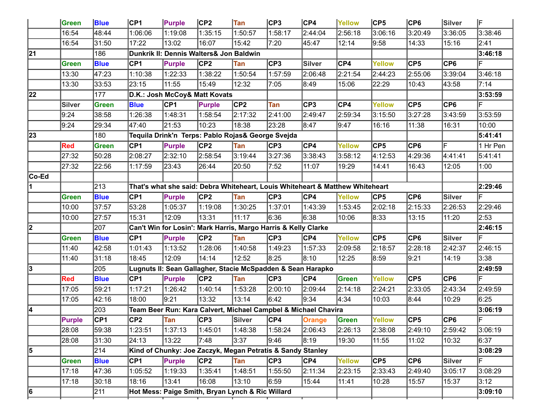|        | Green         | <b>Blue</b>     | CP1             | <b>Purple</b> | CP2                                                                           | <b>Tan</b> | CP3     | CP4            | Yellow        | CP5           | CP6              | Silver          | lF       |
|--------|---------------|-----------------|-----------------|---------------|-------------------------------------------------------------------------------|------------|---------|----------------|---------------|---------------|------------------|-----------------|----------|
|        | 16:54         | 48:44           | 1:06:06         | 1:19:08       | 1:35:15                                                                       | 1:50:57    | 1:58:17 | 2:44:04        | 2:56:18       | 3:06:16       | 3:20:49          | 3:36:05         | 3:38:46  |
|        | 16:54         | 31:50           | 17:22           | 13:02         | 16:07                                                                         | 15:42      | 7:20    | 45:47          | 12:14         | 9:58          | 14:33            | 15:16           | 2:41     |
| 21     |               | 186             |                 |               | Dunkrik II: Dennis Walters& Jon Baldwin                                       |            |         |                |               |               |                  |                 | 3:46:18  |
|        | Green         | <b>Blue</b>     | CP <sub>1</sub> | <b>Purple</b> | CP <sub>2</sub>                                                               | Tan        | CP3     | Silver         | CP4           | <b>Yellow</b> | $\overline{CP5}$ | CP <sub>6</sub> | F        |
|        | 13:30         | 47:23           | 1:10:38         | 1:22:33       | 1:38:22                                                                       | 1:50:54    | 1:57:59 | 2:06:48        | 2:21:54       | 2:44:23       | 2:55:06          | 3:39:04         | 3:46:18  |
|        | 13:30         | 33:53           | 23:15           | 11:55         | 15:49                                                                         | 12:32      | 7:05    | 8:49           | 15:06         | 22:29         | 10:43            | 43:58           | 7:14     |
| 22     |               | 177             |                 |               | D.K.: Josh McCoy& Matt Kovats                                                 |            |         |                |               |               |                  |                 | 3:53:59  |
|        | <b>Silver</b> | Green           | <b>Blue</b>     | <b>CP1</b>    | <b>Purple</b>                                                                 | CP2        | Tan     | $\mathsf{CP}3$ | CP4           | <b>Yellow</b> | $\overline{CP5}$ | CP <sub>6</sub> | F        |
|        | 9:24          | 38:58           | 1:26:38         | 1:48:31       | 1:58:54                                                                       | 2:17:32    | 2:41:00 | 2:49:47        | 2:59:34       | 3:15:50       | 3:27:28          | 3:43:59         | 3:53:59  |
|        | 9:24          | 29:34           | 47:40           | 21:53         | 10:23                                                                         | 18:38      | 23:28   | 8:47           | 9:47          | 16:16         | 11:38            | 16:31           | 10:00    |
| 23     |               | 180             |                 |               | Tequila Drink'n Terps: Pablo Rojas& George Svejda                             |            |         |                |               |               |                  |                 | 5:41:41  |
|        | <b>Red</b>    | <b>Green</b>    | CP <sub>1</sub> | <b>Purple</b> | CP <sub>2</sub>                                                               | Tan        | CP3     | CP4            | Yellow        | CP5           | CP6              | F               | 1 Hr Pen |
|        | 27:32         | 50:28           | 2:08:27         | 2:32:10       | 2:58:54                                                                       | 3:19:44    | 3:27:36 | 3:38:43        | 3:58:12       | 4:12:53       | 4:29:36          | 4:41:41         | 5:41:41  |
|        | 27:32         | 22:56           | 1:17:59         | 23:43         | 26:44                                                                         | 20:50      | 7:52    | 11:07          | 19:29         | 14:41         | 16:43            | 12:05           | 1:00     |
| ∣Co-Ed |               |                 |                 |               |                                                                               |            |         |                |               |               |                  |                 |          |
|        |               | 213             |                 |               | That's what she said: Debra Whiteheart, Louis Whiteheart & Matthew Whiteheart |            |         |                |               |               |                  |                 | 2:29:46  |
|        | <b>Green</b>  | <b>Blue</b>     | CP1             | Purple        | CP <sub>2</sub>                                                               | Tan        | CP3     | CP4            | <b>Yellow</b> | CP5           | CP6              | Silver          | F        |
|        | 10:00         | 37:57           | 53:28           | 1:05:37       | 1:19:08                                                                       | 1:30:25    | 1:37:01 | 1:43:39        | 1:53:45       | 2:02:18       | 2:15:33          | 2:26:53         | 2:29:46  |
|        | 10:00         | 27:57           | 15:31           | 12:09         | 13:31                                                                         | 11:17      | 6:36    | 6:38           | 10:06         | 8:33          | 13:15            | 11:20           | 2:53     |
| 2      |               | 207             |                 |               | Can't Win for Losin': Mark Harris, Margo Harris & Kelly Clarke                |            |         |                |               |               |                  |                 | 2:46:15  |
|        | <b>Green</b>  | <b>Blue</b>     | CP1             | <b>Purple</b> | CP2                                                                           | Tan        | CP3     | CP4            | <b>Yellow</b> | CP5           | CP6              | Silver          | IF       |
|        | 11:40         | 42:58           | 1:01:43         | 1:13:52       | 1:28:06                                                                       | 1:40:58    | 1:49:23 | 1:57:33        | 2:09:58       | 2:18:57       | 2:28:18          | 2:42:37         | 2:46:15  |
|        | 11:40         | 31:18           | 18:45           | 12:09         | 14:14                                                                         | 12:52      | 8:25    | 8:10           | 12:25         | 8:59          | 9:21             | 14:19           | 3:38     |
| 3      |               | 205             |                 |               | Lugnuts II: Sean Gallagher, Stacie McSpadden & Sean Harapko                   |            |         |                |               |               |                  |                 | 2:49:59  |
|        | <b>Red</b>    | <b>Blue</b>     | CP1             | <b>Purple</b> | C <sub>P2</sub>                                                               | Tan        | CP3     | CP4            | Green         | <b>Yellow</b> | CP5              | CP6             | F        |
|        | 17:05         | 59:21           | 1:17:21         | 1:26:42       | 1:40:14                                                                       | 1:53:28    | 2:00:10 | 2:09:44        | 2:14:18       | 2:24:21       | 2:33:05          | 2:43:34         | 2:49:59  |
|        | 17:05         | 42:16           | 18:00           | 9:21          | 13:32                                                                         | 13:14      | 6:42    | 9:34           | 4:34          | 10:03         | 8:44             | 10:29           | 6:25     |
| 14     |               | 203             |                 |               | Team Beer Run: Kara Calvert, Michael Campbel & Michael Chavira                |            |         |                |               |               |                  |                 | 3:06:19  |
|        | <b>Purple</b> | CP <sub>1</sub> | CP <sub>2</sub> | Tan           | CP3                                                                           | Silver     | CP4     | Orange         | Green         | Yellow        | CP5              | CP6             | F        |
|        | 28:08         | 59:38           | 1:23:51         | 1:37:13       | 1:45:01                                                                       | 1:48:38    | 1:58:24 | 2:06:43        | 2:26:13       | 2:38:08       | 2:49:10          | 2:59:42         | 3:06:19  |
|        | 28:08         | 31:30           | 24:13           | 13:22         | 7:48                                                                          | 3:37       | 9:46    | 8:19           | 19:30         | 11:55         | 11:02            | 10:32           | 6:37     |
| 5      |               | 214             |                 |               | Kind of Chunky: Joe Zaczyk, Megan Petratis & Sandy Stanley                    |            |         |                |               |               |                  |                 | 3:08:29  |
|        | Green         | <b>Blue</b>     | CP1             | <b>Purple</b> | CP <sub>2</sub>                                                               | Tan        | CP3     | CP4            | Yellow        | CP5           | CP6              | Silver          | F        |
|        | 17:18         | 47:36           | 1:05:52         | 1:19:33       | 1:35:41                                                                       | 1:48:51    | 1:55:50 | 2:11:34        | 2:23:15       | 2:33:43       | 2:49:40          | 3:05:17         | 3:08:29  |
|        | 17:18         | 30:18           | 18:16           | 13:41         | 16:08                                                                         | 13:10      | 6:59    | 15:44          | 11:41         | 10:28         | 15:57            | 15:37           | 3:12     |
| 6      |               | 211             |                 |               | Hot Mess: Paige Smith, Bryan Lynch & Ric Willard                              |            |         |                |               |               |                  |                 | 3:09:10  |
|        |               |                 |                 |               |                                                                               |            |         |                |               |               |                  |                 |          |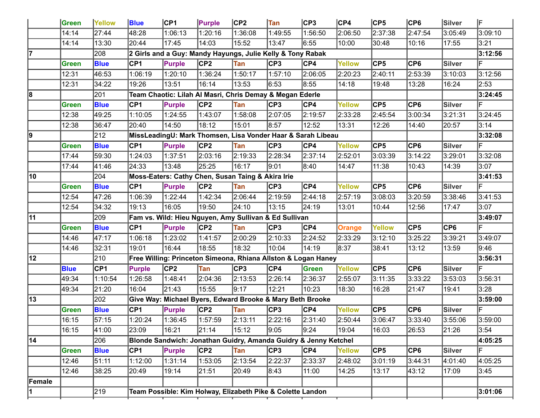|        | Green        | Yellow          | <b>Blue</b>     | CP1                                                             | Purple          | CP <sub>2</sub> | Tan     | CP3     | CP4           | CP5            | CP6             | Silver           | lF.     |
|--------|--------------|-----------------|-----------------|-----------------------------------------------------------------|-----------------|-----------------|---------|---------|---------------|----------------|-----------------|------------------|---------|
|        | 14:14        | 27:44           | 48:28           | 1:06:13                                                         | 1:20:16         | 1:36:08         | 1:49:55 | 1:56:50 | 2:06:50       | 2:37:38        | 2:47:54         | 3:05:49          | 3:09:10 |
|        | 14:14        | 13:30           | 20:44           | 17:45                                                           | 14:03           | 15:52           | 13:47   | 6:55    | 10:00         | 30:48          | 10:16           | 17:55            | 3:21    |
| 17     |              | 208             |                 | 2 Girls and a Guy: Mandy Hayungs, Julie Kelly & Tony Rabak      |                 |                 |         |         |               |                |                 |                  | 3:12:56 |
|        | Green        | <b>Blue</b>     | CP <sub>1</sub> | Purple                                                          | CP2             | Tan             | CP3     | CP4     | <b>Yellow</b> | $\mathsf{CP}5$ | CP <sub>6</sub> | Silver           | F       |
|        | 12:31        | 46:53           | 1:06:19         | 1:20:10                                                         | 1:36:24         | 1:50:17         | 1:57:10 | 2:06:05 | 2:20:23       | 2:40:11        | 2:53:39         | 3:10:03          | 3:12:56 |
|        | 12:31        | 34:22           | 19:26           | 13:51                                                           | 16:14           | 13:53           | 6:53    | 8:55    | 14:18         | 19:48          | 13:28           | 16:24            | 2:53    |
| 8      |              | 201             |                 | Team Chaotic: Lilah Al Masri, Chris Demay & Megan Ederle        |                 |                 |         |         |               |                |                 |                  | 3:24:45 |
|        | Green        | <b>Blue</b>     | CP <sub>1</sub> | <b>Purple</b>                                                   | CP2             | Tan             | CP3     | CP4     | Yellow        | $\mathsf{CP}5$ | CP <sub>6</sub> | Silver           | F       |
|        | 12:38        | 49:25           | 1:10:05         | 1:24:55                                                         | 1:43:07         | 1:58:08         | 2:07:05 | 2:19:57 | 2:33:28       | 2:45:54        | 3:00:34         | 3:21:31          | 3:24:45 |
|        | 12:38        | 36:47           | 20:40           | 14:50                                                           | 18:12           | 15:01           | 8:57    | 12:52   | 13:31         | 12:26          | 14:40           | 20:57            | 3:14    |
| 9      |              | 212             |                 | MissLeadingU: Mark Thomsen, Lisa Vonder Haar & Sarah Libeau     |                 |                 |         |         |               |                |                 |                  | 3:32:08 |
|        | Green        | <b>Blue</b>     | CP <sub>1</sub> | <b>Purple</b>                                                   | CP2             | Tan             | CP3     | CP4     | Yellow        | $\mathsf{CP}5$ | CP6             | Silver           | F       |
|        | 17:44        | 59:30           | 1:24:03         | 1:37:51                                                         | 2:03:16         | 2:19:33         | 2:28:34 | 2:37:14 | 2:52:01       | 3:03:39        | 3:14:22         | 3:29:01          | 3:32:08 |
|        | 17:44        | 41:46           | 24:33           | 13:48                                                           | 25:25           | 16:17           | 9:01    | 8:40    | 14:47         | 11:38          | 10:43           | 14:39            | 3:07    |
| 10     |              | 204             |                 | Moss-Eaters: Cathy Chen, Susan Taing & Akira Irie               |                 |                 |         |         |               |                |                 |                  | 3:41:53 |
|        | <b>Green</b> | <b>Blue</b>     | CP1             | <b>Purple</b>                                                   | CP2             | Tan             | CP3     | CP4     | Yellow        | $\mathsf{CP}5$ | CP6             | <b>Silver</b>    | F       |
|        | 12:54        | 47:26           | 1:06:39         | 1:22:44                                                         | 1:42:34         | 2:06:44         | 2:19:59 | 2:44:18 | 2:57:19       | 3:08:03        | 3:20:59         | 3:38:46          | 3:41:53 |
|        | 12:54        | 34:32           | 19:13           | 16:05                                                           | 19:50           | 24:10           | 13:15   | 24:19   | 13:01         | 10:44          | 12:56           | 17:47            | 3:07    |
| 11     |              | 209             |                 | Fam vs. Wild: Hieu Nguyen, Amy Sullivan & Ed Sullivan           |                 |                 |         |         |               |                |                 |                  | 3:49:07 |
|        | <b>Green</b> | <b>Blue</b>     | CP1             | Purple                                                          | CP2             | Tan             | CP3     | CP4     | Orange        | <b>Yellow</b>  | CP5             | $\overline{CP6}$ | F       |
|        | 14:46        | 47:17           | 1:06:18         | 1:23:02                                                         | 1:41:57         | 2:00:29         | 2:10:33 | 2:24:52 | 2:33:29       | 3:12:10        | 3:25:22         | 3:39:21          | 3:49:07 |
|        | 14:46        | 32:31           | 19:01           | 16:44                                                           | 18:55           | 18:32           | 10:04   | 14:19   | 8:37          | 38:41          | 13:12           | 13:59            | 9:46    |
| 12     |              | 210             |                 | Free Willing: Princeton Simeona, Rhiana Allston & Logan Haney   |                 |                 |         |         |               |                |                 |                  | 3:56:31 |
|        | <b>Blue</b>  | CP <sub>1</sub> | <b>Purple</b>   | CP2                                                             | Tan             | CP3             | CP4     | Green   | <b>Yellow</b> | $\mathsf{CP}5$ | CP6             | <b>Silver</b>    | F       |
|        | 49:34        | 1:10:54         | 1:26:58         | 1:48:41                                                         | 2:04:36         | 2:13:53         | 2:26:14 | 2:36:37 | 2:55:07       | 3:11:35        | 3:33:22         | 3:53:03          | 3:56:31 |
|        | 49:34        | 21:20           | 16:04           | 21:43                                                           | 15:55           | 9:17            | 12:21   | 10:23   | 18:30         | 16:28          | 21:47           | 19:41            | 3:28    |
| 13     |              | 202             |                 | Give Way: Michael Byers, Edward Brooke & Mary Beth Brooke       |                 |                 |         |         |               |                |                 |                  | 3:59:00 |
|        | <b>Green</b> | <b>Blue</b>     | CP <sub>1</sub> | <b>Purple</b>                                                   | CP <sub>2</sub> | Tan             | CP3     | CP4     | Yellow        | $\mathsf{CP}5$ | CP6             | <b>Silver</b>    | F       |
|        | 16:15        | 57:15           | 1:20:24         | 1:36:45                                                         | 1:57:59         | 2:13:11         | 2:22:16 | 2:31:40 | 2:50:44       | 3:06:47        | 3:33:40         | 3:55:06          | 3:59:00 |
|        | 16:15        | 41:00           | 23:09           | 16:21                                                           | 21:14           | 15:12           | 9:05    | 9:24    | 19:04         | 16:03          | 26:53           | 21:26            | 3:54    |
| 14     |              | 206             |                 | Blonde Sandwich: Jonathan Guidry, Amanda Guidry & Jenny Ketchel |                 |                 |         |         |               |                |                 |                  | 4:05:25 |
|        | Green        | <b>Blue</b>     | CP1             | Purple                                                          | CP2             | Tan             | CP3     | CP4     | Yellow        | CP5            | CP6             | <b>Silver</b>    | F       |
|        | 12:46        | 51:11           | 1:12:00         | 1:31:14                                                         | 1:53:05         | 2:13:54         | 2:22:37 | 2:33:37 | 2:48:02       | 3:01:19        | 3:44:31         | 4:01:40          | 4:05:25 |
|        | 12:46        | 38:25           | 20:49           | 19:14                                                           | 21:51           | 20:49           | 8:43    | 11:00   | 14:25         | 13:17          | 43:12           | 17:09            | 3:45    |
|        |              |                 |                 |                                                                 |                 |                 |         |         |               |                |                 |                  |         |
| Female |              |                 |                 |                                                                 |                 |                 |         |         |               |                |                 |                  |         |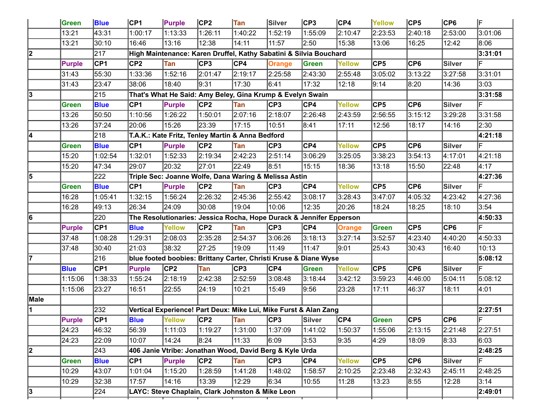|      | Green         | <b>Blue</b>     | CP1             | Purple        | CP <sub>2</sub>                                                     | Tan        | Silver        | CP3     | CP4           | Yellow         | CP5     | CP6              | lF      |
|------|---------------|-----------------|-----------------|---------------|---------------------------------------------------------------------|------------|---------------|---------|---------------|----------------|---------|------------------|---------|
|      | 13:21         | 43:31           | 1:00:17         | 1:13:33       | 1:26:11                                                             | 1:40:22    | 1:52:19       | 1:55:09 | 2:10:47       | 2:23:53        | 2:40:18 | 2:53:00          | 3:01:06 |
|      | 13:21         | 30:10           | 16:46           | 13:16         | 12:38                                                               | 14:11      | 11:57         | 2:50    | 15:38         | 13:06          | 16:25   | 12:42            | 8:06    |
| 2    |               | 217             |                 |               | High Maintenance: Karen Druffel, Kathy Sabatini & Silvia Bouchard   |            |               |         |               |                |         |                  | 3:31:01 |
|      | <b>Purple</b> | CP <sub>1</sub> | CP <sub>2</sub> | Tan           | CP3                                                                 | CP4        | <b>Orange</b> | Green   | Yellow        | $\mathsf{CP}5$ | CP6     | <b>Silver</b>    | F       |
|      | 31:43         | 55:30           | 1:33:36         | 1:52:16       | 2:01:47                                                             | 2:19:17    | 2:25:58       | 2:43:30 | 2:55:48       | 3:05:02        | 3:13:22 | 3:27:58          | 3:31:01 |
|      | 31:43         | 23:47           | 38:06           | 18:40         | 9:31                                                                | 17:30      | 6:41          | 17:32   | 12:18         | 9:14           | 8:20    | 14:36            | 3:03    |
| 3    |               | 215             |                 |               | That's What He Said: Amy Beley, Gina Krump & Evelyn Swain           |            |               |         |               |                |         |                  | 3:31:58 |
|      | Green         | <b>Blue</b>     | CP <sub>1</sub> | Purple        | CP2                                                                 | Tan        | CP3           | CP4     | Yellow        | $\mathsf{CP}5$ | CP6     | <b>Silver</b>    | F       |
|      | 13:26         | 50:50           | 1:10:56         | 1:26:22       | 1:50:01                                                             | 2:07:16    | 2:18:07       | 2:26:48 | 2:43:59       | 2:56:55        | 3:15:12 | 3:29:28          | 3:31:58 |
|      | 13:26         | 37:24           | 20:06           | 15:26         | 23:39                                                               | 17:15      | 10:51         | 8:41    | 17:11         | 12:56          | 18:17   | 14:16            | 2:30    |
| 14   |               | 218             |                 |               | T.A.K.: Kate Fritz, Tenley Martin & Anna Bedford                    |            |               |         |               |                |         |                  | 4:21:18 |
|      | <b>Green</b>  | <b>Blue</b>     | CP <sub>1</sub> | <b>Purple</b> | CP2                                                                 | Tan        | CP3           | CP4     | Yellow        | $\mathsf{CP}5$ | CP6     | Silver           | F       |
|      | 15:20         | 1:02:54         | 1:32:01         | 1:52:33       | 2:19:34                                                             | 2:42:23    | 2:51:14       | 3:06:29 | 3:25:05       | 3:38:23        | 3:54:13 | 4:17:01          | 4:21:18 |
|      | 15:20         | 47:34           | 29:07           | 20:32         | 27:01                                                               | 22:49      | 8:51          | 15:15   | 18:36         | 13:18          | 15:50   | 22:48            | 4:17    |
| 5    |               | 222             |                 |               | Triple Sec: Joanne Wolfe, Dana Waring & Melissa Astin               |            |               |         |               |                |         |                  | 4:27:36 |
|      | Green         | <b>Blue</b>     | CP1             | Purple        | CP2                                                                 | Tan        | CP3           | CP4     | Yellow        | $\mathsf{CP}5$ | CP6     | <b>Silver</b>    | F       |
|      | 16:28         | 1:05:41         | 1:32:15         | 1:56:24       | 2:26:32                                                             | 2:45:36    | 2:55:42       | 3:08:17 | 3:28:43       | 3:47:07        | 4:05:32 | 4:23:42          | 4:27:36 |
|      | 16:28         | 49:13           | 26:34           | 24:09         | 30:08                                                               | 19:04      | 10:06         | 12:35   | 20:26         | 18:24          | 18:25   | 18:10            | 3:54    |
| 6    |               | 220             |                 |               | The Resolutionaries: Jessica Rocha, Hope Durack & Jennifer Epperson |            |               |         |               |                |         |                  | 4:50:33 |
|      | <b>Purple</b> | CP <sub>1</sub> | <b>Blue</b>     | <b>Yellow</b> | CP2                                                                 | Tan        | CP3           | CP4     | Orange        | Green          | CP5     | $\overline{CP6}$ | F       |
|      | 37:48         | 1:08:28         | 1:29:31         | 2:08:03       | 2:35:28                                                             | 2:54:37    | 3:06:26       | 3:18:13 | 3:27:14       | 3:52:57        | 4:23:40 | 4:40:20          | 4:50:33 |
|      | 37:48         | 30:40           | 21:03           | 38:32         | 27:25                                                               | 19:09      | 11:49         | 11:47   | 9:01          | 25:43          | 30:43   | 16:40            | 10:13   |
| 17   |               | 216             |                 |               | blue footed boobies: Brittany Carter, Christi Kruse & Diane Wyse    |            |               |         |               |                |         |                  | 5:08:12 |
|      | <b>Blue</b>   | CP <sub>1</sub> | <b>Purple</b>   | CP2           | Tan                                                                 | CP3        | CP4           | Green   | <b>Yellow</b> | $\mathsf{CP}5$ | CP6     | <b>Silver</b>    | F       |
|      | 1:15:06       | 1:38:33         | 1:55:24         | 2:18:19       | 2:42:38                                                             | 2:52:59    | 3:08:48       | 3:18:44 | 3:42:12       | 3:59:23        | 4:46:00 | 5:04:11          | 5:08:12 |
|      | 1:15:06       | 23:27           | 16:51           | 22:55         | 24:19                                                               | 10:21      | 15:49         | 9:56    | 23:28         | 17:11          | 46:37   | 18:11            | 4:01    |
| Male |               |                 |                 |               |                                                                     |            |               |         |               |                |         |                  |         |
| 11.  |               | 232             |                 |               | Vertical Experience! Part Deux: Mike Lui, Mike Furst & Alan Zang    |            |               |         |               |                |         |                  | 2:27:51 |
|      | <b>Purple</b> | CP1             | <b>Blue</b>     | Yellow        | CP2                                                                 | <b>Tan</b> | CP3           | Silver  | CP4           | Green          | CP5     | CP6              | F       |
|      | 24:23         | 46:32           | 56:39           | 1:11:03       | 1:19:27                                                             | 1:31:00    | 1:37:09       | 1:41:02 | 1:50:37       | 1:55:06        | 2:13:15 | 2:21:48          | 2:27:51 |
|      | 24:23         | 22:09           | 10:07           | 14:24         | 8:24                                                                | 11:33      | 6:09          | 3:53    | 9:35          | 4:29           | 18:09   | 8:33             | 6:03    |
| 2    |               | 243             |                 |               | 406 Janie Vtribe: Jonathan Wood, David Berg & Kyle Urda             |            |               |         |               |                |         |                  | 2:48:25 |
|      | <b>Green</b>  | <b>Blue</b>     | CP1             | <b>Purple</b> | CP2                                                                 | Tan        | CP3           | CP4     | Yellow        | CP5            | CP6     | <b>Silver</b>    | E       |
|      | 10:29         | 43:07           | 1:01:04         | 1:15:20       | 1:28:59                                                             | 1:41:28    | 1:48:02       | 1:58:57 | 2:10:25       | 2:23:48        | 2:32:43 | 2:45:11          | 2:48:25 |
|      | 10:29         | 32:38           | 17:57           | 14:16         | 13:39                                                               | 12:29      | 6:34          | 10:55   | 11:28         | 13:23          | 8:55    | 12:28            | 3:14    |
| 3    |               | 224             |                 |               | LAYC: Steve Chaplain, Clark Johnston & Mike Leon                    |            |               |         |               |                |         |                  | 2:49:01 |
|      |               |                 |                 |               |                                                                     |            |               |         |               |                |         |                  |         |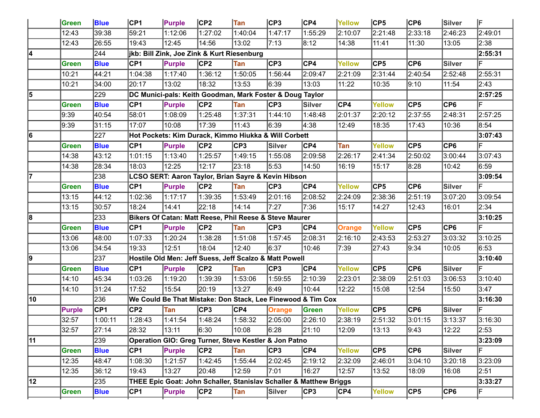|    | <b>Green</b>  | <b>Blue</b>     | CP1             | <b>Purple</b>                                                      | CP2             | <b>Tan</b>       | CP3     | CP4     | Yellow        | CP5           | CP6              | Silver          | F       |
|----|---------------|-----------------|-----------------|--------------------------------------------------------------------|-----------------|------------------|---------|---------|---------------|---------------|------------------|-----------------|---------|
|    | 12:43         | 39:38           | 59:21           | 1:12:06                                                            | 1:27:02         | 1:40:04          | 1:47:17 | 1:55:29 | 2:10:07       | 2:21:48       | 2:33:18          | 2:46:23         | 2:49:01 |
|    | 12:43         | 26:55           | 19:43           | 12:45                                                              | 14:56           | 13:02            | 7:13    | 8:12    | 14:38         | 11:41         | 11:30            | 13:05           | 2:38    |
| 4  |               | 244             |                 | jkb: Bill Zink, Joe Zink & Kurt Riesenburg                         |                 |                  |         |         |               |               |                  |                 | 2:55:31 |
|    | <b>Green</b>  | <b>Blue</b>     | CP <sub>1</sub> | <b>Purple</b>                                                      | CP <sub>2</sub> | Tan              | CP3     | CP4     | Yellow        | CP5           | CP6              | <b>Silver</b>   | F       |
|    | 10:21         | 44:21           | 1:04:38         | 1:17:40                                                            | 1:36:12         | 1:50:05          | 1:56:44 | 2:09:47 | 2:21:09       | 2:31:44       | 2:40:54          | 2:52:48         | 2:55:31 |
|    | 10:21         | 34:00           | 20:17           | 13:02                                                              | 18:32           | 13:53            | 6:39    | 13:03   | 11:22         | 10:35         | 9:10             | 11:54           | 2:43    |
| 5  |               | 229             |                 | DC Munici-pals: Keith Goodman, Mark Foster & Doug Taylor           |                 |                  |         |         |               |               |                  |                 | 2:57:25 |
|    | Green         | <b>Blue</b>     | CP <sub>1</sub> | Purple                                                             | CP2             | Tan              | CP3     | Silver  | CP4           | <b>Yellow</b> | $\overline{CP5}$ | CP <sub>6</sub> | F       |
|    | 9:39          | 40:54           | 58:01           | 1:08:09                                                            | 1:25:48         | 1:37:31          | 1:44:10 | 1:48:48 | 2:01:37       | 2:20:12       | 2:37:55          | 2:48:31         | 2:57:25 |
|    | 9:39          | 31:15           | 17:07           | 10:08                                                              | 17:39           | 11:43            | 6:39    | 4:38    | 12:49         | 18:35         | 17:43            | 10:36           | 8:54    |
| 16 |               | 227             |                 | Hot Pockets: Kim Durack, Kimmo Hiukka & Will Corbett               |                 |                  |         |         |               |               |                  |                 | 3:07:43 |
|    | Green         | <b>Blue</b>     | CP <sub>1</sub> | <b>Purple</b>                                                      | CP <sub>2</sub> | CP3              | Silver  | CP4     | Tan           | Yellow        | $\mathsf{CP5}$   | CP <sub>6</sub> | F       |
|    | 14:38         | 43:12           | 1:01:15         | 1:13:40                                                            | 1:25:57         | 1:49:15          | 1:55:08 | 2:09:58 | 2:26:17       | 2:41:34       | 2:50:02          | 3:00:44         | 3:07:43 |
|    | 14:38         | 28:34           | 18:03           | 12:25                                                              | 12:17           | 23:18            | 5:53    | 14:50   | 16:19         | 15:17         | 8:28             | 10:42           | 6:59    |
| 17 |               | 238             |                 | LCSO SERT: Aaron Taylor, Brian Sayre & Kevin Hibson                |                 |                  |         |         |               |               |                  |                 | 3:09:54 |
|    | <b>Green</b>  | <b>Blue</b>     | CP <sub>1</sub> | <b>Purple</b>                                                      | CP <sub>2</sub> | Tan              | CP3     | CP4     | Yellow        | CP5           | CP6              | <b>Silver</b>   | F       |
|    | 13:15         | 44:12           | 1:02:36         | 1:17:17                                                            | 1:39:35         | 1:53:49          | 2:01:16 | 2:08:52 | 2:24:09       | 2:38:36       | 2:51:19          | 3:07:20         | 3:09:54 |
|    | 13:15         | 30:57           | 18:24           | 14:41                                                              | 22:18           | 14:14            | 7:27    | 7:36    | 15:17         | 14:27         | 12:43            | 16:01           | 2:34    |
| 8  |               | 233             |                 | Bikers Of Catan: Matt Reese, Phil Reese & Steve Maurer             |                 |                  |         |         |               |               |                  |                 | 3:10:25 |
|    | Green         | <b>Blue</b>     | CP <sub>1</sub> | <b>Purple</b>                                                      | CP <sub>2</sub> | Tan              | CP3     | CP4     | <b>Orange</b> | <b>Yellow</b> | $\mathsf{CP5}$   | CP <sub>6</sub> | F       |
|    | 13:06         | 48:00           | 1:07:33         | 1:20:24                                                            | 1:38:28         | 1:51:08          | 1:57:45 | 2:08:31 | 2:16:10       | 2:43:53       | 2:53:27          | 3:03:32         | 3:10:25 |
|    | 13:06         | 34:54           | 19:33           | 12:51                                                              | 18:04           | 12:40            | 6:37    | 10:46   | 7:39          | 27:43         | 9:34             | 10:05           | 6:53    |
| 19 |               | 237             |                 | Hostile Old Men: Jeff Suess, Jeff Scalzo & Matt Powell             |                 |                  |         |         |               |               |                  |                 | 3:10:40 |
|    | Green         | <b>Blue</b>     | CP <sub>1</sub> | <b>Purple</b>                                                      | CP <sub>2</sub> | Tan              | CP3     | CP4     | Yellow        | CP5           | CP6              | <b>Silver</b>   | F       |
|    | 14:10         | 45:34           | 1:03:26         | 1:19:20                                                            | 1:39:39         | 1:53:06          | 1:59:55 | 2:10:39 | 2:23:01       | 2:38:09       | 2:51:03          | 3:06:53         | 3:10:40 |
|    | 14:10         | 31:24           | 17:52           | 15:54                                                              | 20:19           | 13:27            | 6:49    | 10:44   | 12:22         | 15:08         | 12:54            | 15:50           | 3:47    |
| 10 |               | 236             |                 | We Could Be That Mistake: Don Stack, Lee Finewood & Tim Cox        |                 |                  |         |         |               |               |                  |                 | 3:16:30 |
|    | <b>Purple</b> | CP <sub>1</sub> | CP <sub>2</sub> | Tan                                                                | CP3             | CP4              | Orange  | Green   | Yellow        | CP5           | CP6              | <b>Silver</b>   | F       |
|    | 32:57         | 1:00:11         | 1:28:43         | 1:41:54                                                            | 1:48:24         | $\sqrt{1.58:32}$ | 2:05:00 | 2:26:10 | 2:38:19       | 2:51:32       | 3:01:15          | 3:13:37         | 3:16:30 |
|    | 32:57         | 27:14           | 28:32           | 13:11                                                              | 6:30            | 10:08            | 6:28    | 21:10   | 12:09         | 13:13         | 9:43             | 12:22           | 2:53    |
| 11 |               | 239             |                 | Operation GIO: Greg Turner, Steve Kestler & Jon Patno              |                 |                  |         |         |               |               |                  |                 | 3:23:09 |
|    | Green         | <b>Blue</b>     | CP <sub>1</sub> | Purple                                                             | CP <sub>2</sub> | Tan              | CP3     | CP4     | Yellow        | CP5           | CP6              | <b>Silver</b>   | ΙF      |
|    | 12:35         | 48:47           | 1:08:30         | 1:21:57                                                            | 1:42:45         | 1:55:44          | 2:02:45 | 2:19:12 | 2:32:09       | 2:46:01       | 3:04:10          | 3:20:18         | 3:23:09 |
|    | 12:35         | 36:12           | 19:43           | 13:27                                                              | 20:48           | 12:59            | 7:01    | 16:27   | 12:57         | 13:52         | 18:09            | 16:08           | 2:51    |
| 12 |               | 235             |                 | THEE Epic Goat: John Schaller, Stanislav Schaller & Matthew Briggs |                 |                  |         |         |               |               |                  |                 | 3:33:27 |
|    | Green         | <b>Blue</b>     | CP1             | Purple                                                             | CP2             | Tan              | Silver  | CP3     | CP4           | Yellow        | CP5              | CP6             | ΙF      |
|    |               |                 |                 |                                                                    |                 |                  |         |         |               |               |                  |                 |         |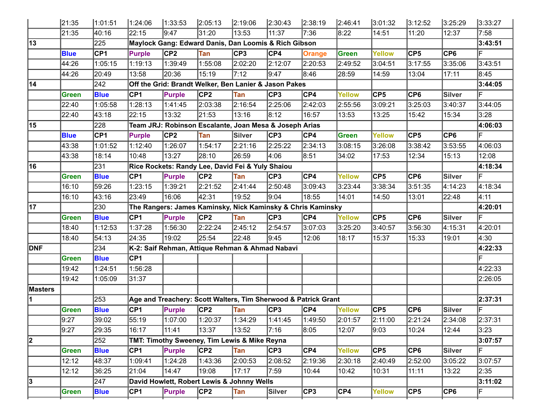|                | 21:35       | 1:01:51     | 1:24:06 | 1:33:53                                                        | 2:05:13         | 2:19:06    | 2:30:43 | 2:38:19       | 2:46:41       | 3:01:32         | 3:12:52          | 3:25:29         | 3:33:27 |
|----------------|-------------|-------------|---------|----------------------------------------------------------------|-----------------|------------|---------|---------------|---------------|-----------------|------------------|-----------------|---------|
|                | 21:35       | 40:16       | 22:15   | 9:47                                                           | 31:20           | 13:53      | 11:37   | 7:36          | 8:22          | 14:51           | 11:20            | 12:37           | 7:58    |
| 13             |             | 225         |         | Maylock Gang: Edward Danis, Dan Loomis & Rich Gibson           |                 |            |         |               |               |                 |                  |                 | 3:43:51 |
|                | <b>Blue</b> | CP1         | Purple  | CP <sub>2</sub>                                                | Tan             | CP3        | CP4     | <b>Orange</b> | Green         | <b>Yellow</b>   | $\overline{CP5}$ | CP <sub>6</sub> | ΙF      |
|                | 44:26       | 1:05:15     | 1:19:13 | 1:39:49                                                        | 1:55:08         | 2:02:20    | 2:12:07 | 2:20:53       | 2:49:52       | 3:04:51         | 3:17:55          | 3:35:06         | 3:43:51 |
|                | 44:26       | 20:49       | 13:58   | 20:36                                                          | 15:19           | 7:12       | 9:47    | 8:46          | 28:59         | 14:59           | 13:04            | 17:11           | 8:45    |
| 14             |             | 242         |         | Off the Grid: Brandt Welker, Ben Lanier & Jason Pakes          |                 |            |         |               |               |                 |                  |                 | 3:44:05 |
|                | Green       | <b>Blue</b> | CP1     | <b>Purple</b>                                                  | CP2             | Tan        | CP3     | CP4           | Yellow        | CP <sub>5</sub> | $\overline{CP6}$ | <b>Silver</b>   | ΙF      |
|                | 22:40       | 1:05:58     | 1:28:13 | 1:41:45                                                        | 2:03:38         | 2:16:54    | 2:25:06 | 2:42:03       | 2:55:56       | 3:09:21         | 3:25:03          | 3:40:37         | 3:44:05 |
|                | 22:40       | 43:18       | 22:15   | 13:32                                                          | 21:53           | 13:16      | 8:12    | 16:57         | 13:53         | 13:25           | 15:42            | 15:34           | 3:28    |
| 15             |             | 228         |         | Team JRJ: Robinson Escalante, Joan Mesa & Joseph Arias         |                 |            |         |               |               |                 |                  |                 | 4:06:03 |
|                | <b>Blue</b> | CP1         | Purple  | CP2                                                            | Tan             | Silver     | CP3     | CP4           | <b>Green</b>  | <b>Yellow</b>   | CP5              | CP <sub>6</sub> | ΙF      |
|                | 43:38       | 1:01:52     | 1:12:40 | 1:26:07                                                        | 1:54:17         | 2:21:16    | 2:25:22 | 2:34:13       | 3:08:15       | 3:26:08         | 3:38:42          | 3:53:55         | 4:06:03 |
|                | 43:38       | 18:14       | 10:48   | 13:27                                                          | 28:10           | 26:59      | 4:06    | 8:51          | 34:02         | 17:53           | 12:34            | 15:13           | 12:08   |
| 16             |             | 231         |         | Rice Rockets: Randy Lee, David Fei & Yuly Shaiou               |                 |            |         |               |               |                 |                  |                 | 4:18:34 |
|                | Green       | <b>Blue</b> | CP1     | <b>Purple</b>                                                  | CP <sub>2</sub> | Tan        | CP3     | CP4           | Yellow        | CP <sub>5</sub> | $\overline{CP6}$ | <b>Silver</b>   | lF.     |
|                | 16:10       | 59:26       | 1:23:15 | 1:39:21                                                        | 2:21:52         | 2:41:44    | 2:50:48 | 3:09:43       | 3:23:44       | 3:38:34         | 3:51:35          | 4:14:23         | 4:18:34 |
|                | 16:10       | 43:16       | 23:49   | 16:06                                                          | 42:31           | 19:52      | 9:04    | 18:55         | 14:01         | 14:50           | 13:01            | 22:48           | 4:11    |
| 17             |             | 230         |         | The Rangers: James Kaminsky, Nick Kaminsky & Chris Kaminsky    |                 |            |         |               |               |                 |                  |                 | 4:20:01 |
|                | Green       | <b>Blue</b> | CP1     | <b>Purple</b>                                                  | CP2             | Tan        | CP3     | CP4           | Yellow        | CP <sub>5</sub> | $\overline{CP6}$ | <b>Silver</b>   | ΙF      |
|                | 18:40       | 1:12:53     | 1:37:28 | 1:56:30                                                        | 2:22:24         | 2:45:12    | 2:54:57 | 3:07:03       | 3:25:20       | 3:40:57         | 3:56:30          | 4:15:31         | 4:20:01 |
|                | 18:40       | 54:13       | 24:35   | 19:02                                                          | 25:54           | 22:48      | 9:45    | 12:06         | 18:17         | 15:37           | 15:33            | 19:01           | 4:30    |
| DNF            |             | 234         |         | K-2: Saif Rehman, Attique Rehman & Ahmad Nabavi                |                 |            |         |               |               |                 |                  |                 | 4:22:33 |
|                | Green       | <b>Blue</b> | CP1     |                                                                |                 |            |         |               |               |                 |                  |                 | ΙF      |
|                | 19:42       | 1:24:51     | 1:56:28 |                                                                |                 |            |         |               |               |                 |                  |                 | 4:22:33 |
|                | 19:42       | 1:05:09     | 31:37   |                                                                |                 |            |         |               |               |                 |                  |                 | 2:26:05 |
| <b>Masters</b> |             |             |         |                                                                |                 |            |         |               |               |                 |                  |                 |         |
| 11.            |             | 253         |         | Age and Treachery: Scott Walters, Tim Sherwood & Patrick Grant |                 |            |         |               |               |                 |                  |                 | 2:37:31 |
|                | Green       | <b>Blue</b> | CP1     | Purple                                                         | CP <sub>2</sub> | Tan        | CP3     | CP4           | <b>Yellow</b> | CP5             | CP6              | <b>Silver</b>   |         |
|                | 9:27        | 39:02       | 55:19   | 1:07:00                                                        | 1:20:37         | 1:34:29    | 1:41:45 | 1:49:50       | 2:01:57       | 2:11:00         | 2:21:24          | 2:34:08         | 2:37:31 |
|                | 9:27        | 29:35       | 16:17   | 11:41                                                          | 13:37           | 13:52      | 7:16    | 8:05          | 12:07         | 9:03            | 10:24            | 12:44           | 3:23    |
| 2              |             | 252         |         | TMT: Timothy Sweeney, Tim Lewis & Mike Reyna                   |                 |            |         |               |               |                 |                  |                 | 3:07:57 |
|                | Green       | <b>Blue</b> | CP1     | Purple                                                         | CP2             | <b>Tan</b> | CP3     | CP4           | Yellow        | CP5             | CP6              | <b>Silver</b>   | ΙF      |
|                | 12:12       | 48:37       | 1:09:41 | 1:24:28                                                        | 1:43:36         | 2:00:53    | 2:08:52 | 2:19:36       | 2:30:18       | 2:40:49         | 2:52:00          | 3:05:22         | 3:07:57 |
|                | 12:12       | 36:25       | 21:04   | 14:47                                                          | 19:08           | 17:17      | 7:59    | 10:44         | 10:42         | 10:31           | 11:11            | 13:22           | 2:35    |
| 3              |             | 247         |         | David Howlett, Robert Lewis & Johnny Wells                     |                 |            |         |               |               |                 |                  |                 | 3:11:02 |
|                | Green       | <b>Blue</b> | CP1     | Purple                                                         | CP2             | Tan        | Silver  | CP3           | CP4           | <b>Yellow</b>   | CP5              | CP6             | ΙF      |